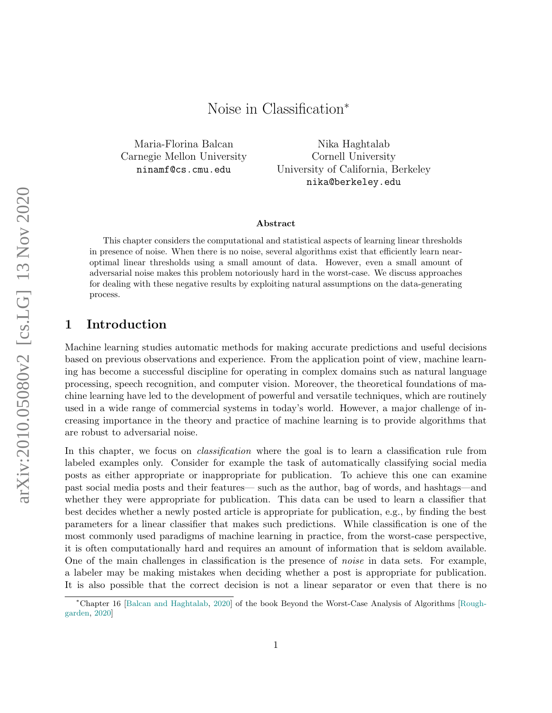Maria-Florina Balcan Carnegie Mellon University ninamf@cs.cmu.edu

Nika Haghtalab Cornell University University of California, Berkeley nika@berkeley.edu

#### Abstract

This chapter considers the computational and statistical aspects of learning linear thresholds in presence of noise. When there is no noise, several algorithms exist that efficiently learn nearoptimal linear thresholds using a small amount of data. However, even a small amount of adversarial noise makes this problem notoriously hard in the worst-case. We discuss approaches for dealing with these negative results by exploiting natural assumptions on the data-generating process.

# 1 Introduction

Machine learning studies automatic methods for making accurate predictions and useful decisions based on previous observations and experience. From the application point of view, machine learning has become a successful discipline for operating in complex domains such as natural language processing, speech recognition, and computer vision. Moreover, the theoretical foundations of machine learning have led to the development of powerful and versatile techniques, which are routinely used in a wide range of commercial systems in today's world. However, a major challenge of increasing importance in the theory and practice of machine learning is to provide algorithms that are robust to adversarial noise.

In this chapter, we focus on *classification* where the goal is to learn a classification rule from labeled examples only. Consider for example the task of automatically classifying social media posts as either appropriate or inappropriate for publication. To achieve this one can examine past social media posts and their features— such as the author, bag of words, and hashtags—and whether they were appropriate for publication. This data can be used to learn a classifier that best decides whether a newly posted article is appropriate for publication, e.g., by finding the best parameters for a linear classifier that makes such predictions. While classification is one of the most commonly used paradigms of machine learning in practice, from the worst-case perspective, it is often computationally hard and requires an amount of information that is seldom available. One of the main challenges in classification is the presence of noise in data sets. For example, a labeler may be making mistakes when deciding whether a post is appropriate for publication. It is also possible that the correct decision is not a linear separator or even that there is no

<sup>∗</sup>Chapter 16 [\[Balcan and Haghtalab,](#page-17-0) [2020\]](#page-17-0) of the book Beyond the Worst-Case Analysis of Algorithms [\[Rough](#page-18-0)[garden,](#page-18-0) [2020\]](#page-18-0)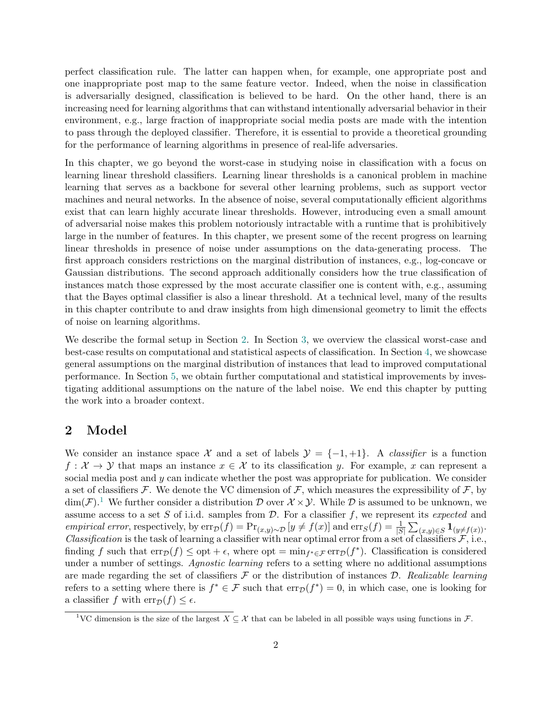perfect classification rule. The latter can happen when, for example, one appropriate post and one inappropriate post map to the same feature vector. Indeed, when the noise in classification is adversarially designed, classification is believed to be hard. On the other hand, there is an increasing need for learning algorithms that can withstand intentionally adversarial behavior in their environment, e.g., large fraction of inappropriate social media posts are made with the intention to pass through the deployed classifier. Therefore, it is essential to provide a theoretical grounding for the performance of learning algorithms in presence of real-life adversaries.

In this chapter, we go beyond the worst-case in studying noise in classification with a focus on learning linear threshold classifiers. Learning linear thresholds is a canonical problem in machine learning that serves as a backbone for several other learning problems, such as support vector machines and neural networks. In the absence of noise, several computationally efficient algorithms exist that can learn highly accurate linear thresholds. However, introducing even a small amount of adversarial noise makes this problem notoriously intractable with a runtime that is prohibitively large in the number of features. In this chapter, we present some of the recent progress on learning linear thresholds in presence of noise under assumptions on the data-generating process. The first approach considers restrictions on the marginal distribution of instances, e.g., log-concave or Gaussian distributions. The second approach additionally considers how the true classification of instances match those expressed by the most accurate classifier one is content with, e.g., assuming that the Bayes optimal classifier is also a linear threshold. At a technical level, many of the results in this chapter contribute to and draw insights from high dimensional geometry to limit the effects of noise on learning algorithms.

We describe the formal setup in Section [2.](#page-1-0) In Section [3,](#page-2-0) we overview the classical worst-case and best-case results on computational and statistical aspects of classification. In Section [4,](#page-4-0) we showcase general assumptions on the marginal distribution of instances that lead to improved computational performance. In Section [5,](#page-12-0) we obtain further computational and statistical improvements by investigating additional assumptions on the nature of the label noise. We end this chapter by putting the work into a broader context.

### <span id="page-1-0"></span>2 Model

We consider an instance space X and a set of labels  $\mathcal{Y} = \{-1, +1\}$ . A *classifier* is a function  $f: \mathcal{X} \to \mathcal{Y}$  that maps an instance  $x \in \mathcal{X}$  to its classification y. For example, x can represent a social media post and y can indicate whether the post was appropriate for publication. We consider a set of classifiers F. We denote the VC dimension of F, which measures the expressibility of F, by  $\dim(\mathcal{F})$ .<sup>[1](#page-1-1)</sup> We further consider a distribution D over  $\mathcal{X} \times \mathcal{Y}$ . While D is assumed to be unknown, we assume access to a set  $S$  of i.i.d. samples from  $D$ . For a classifier  $f$ , we represent its *expected* and empirical error, respectively, by  $\text{err}_{\mathcal{D}}(f) = \text{Pr}_{(x,y)\sim\mathcal{D}}[y \neq f(x)]$  and  $\text{err}_{S}(f) = \frac{1}{|S|} \sum_{(x,y)\in S} \mathbf{1}_{(y\neq f(x))}$ . Classification is the task of learning a classifier with near optimal error from a set of classifiers  $\mathcal{F}$ , i.e., finding f such that  $err_{\mathcal{D}}(f) \leq opt + \epsilon$ , where  $opt = min_{f^* \in \mathcal{F}} err_{\mathcal{D}}(f^*)$ . Classification is considered under a number of settings. Agnostic learning refers to a setting where no additional assumptions are made regarding the set of classifiers  $\mathcal F$  or the distribution of instances  $\mathcal D$ . Realizable learning refers to a setting where there is  $f^* \in \mathcal{F}$  such that  $\text{err}_{\mathcal{D}}(f^*) = 0$ , in which case, one is looking for a classifier f with  $\text{err}_{\mathcal{D}}(f) \leq \epsilon$ .

<span id="page-1-1"></span><sup>&</sup>lt;sup>1</sup>VC dimension is the size of the largest  $X \subseteq \mathcal{X}$  that can be labeled in all possible ways using functions in  $\mathcal{F}$ .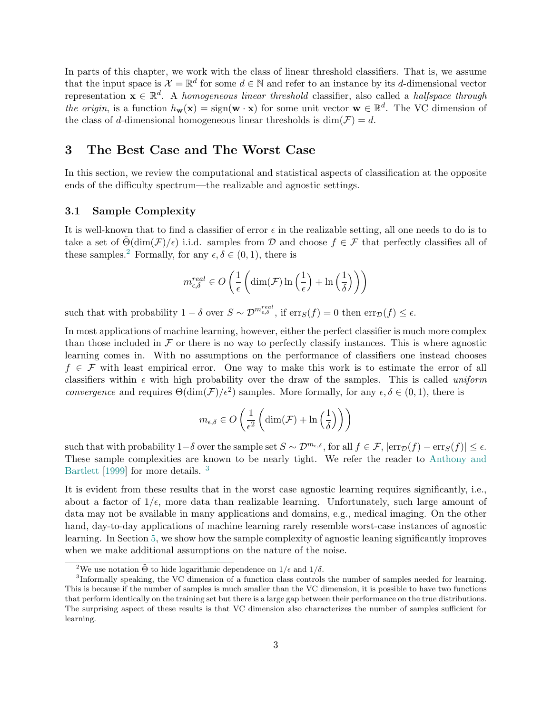In parts of this chapter, we work with the class of linear threshold classifiers. That is, we assume that the input space is  $\mathcal{X} = \mathbb{R}^d$  for some  $d \in \mathbb{N}$  and refer to an instance by its d-dimensional vector representation  $\mathbf{x} \in \mathbb{R}^d$ . A homogeneous linear threshold classifier, also called a halfspace through the origin, is a function  $h_{\mathbf{w}}(\mathbf{x}) = \text{sign}(\mathbf{w} \cdot \mathbf{x})$  for some unit vector  $\mathbf{w} \in \mathbb{R}^d$ . The VC dimension of the class of d-dimensional homogeneous linear thresholds is  $\dim(\mathcal{F}) = d$ .

## <span id="page-2-0"></span>3 The Best Case and The Worst Case

In this section, we review the computational and statistical aspects of classification at the opposite ends of the difficulty spectrum—the realizable and agnostic settings.

#### <span id="page-2-3"></span>3.1 Sample Complexity

It is well-known that to find a classifier of error  $\epsilon$  in the realizable setting, all one needs to do is to take a set of  $\Theta(\dim(\mathcal{F})/\epsilon)$  i.i.d. samples from D and choose  $f \in \mathcal{F}$  that perfectly classifies all of these samples.<sup>[2](#page-2-1)</sup> Formally, for any  $\epsilon, \delta \in (0, 1)$ , there is

$$
m_{\epsilon,\delta}^{real} \in O\left(\frac{1}{\epsilon} \left( \dim(\mathcal{F}) \ln\left(\frac{1}{\epsilon}\right) + \ln\left(\frac{1}{\delta}\right) \right) \right)
$$

such that with probability  $1 - \delta$  over  $S \sim \mathcal{D}^{m_{\epsilon,\delta}^{real}}$ , if  $\text{err}_S(f) = 0$  then  $\text{err}_{\mathcal{D}}(f) \leq \epsilon$ .

In most applications of machine learning, however, either the perfect classifier is much more complex than those included in  $\mathcal F$  or there is no way to perfectly classify instances. This is where agnostic learning comes in. With no assumptions on the performance of classifiers one instead chooses  $f \in \mathcal{F}$  with least empirical error. One way to make this work is to estimate the error of all classifiers within  $\epsilon$  with high probability over the draw of the samples. This is called uniform *convergence* and requires  $\Theta(\dim(\mathcal{F})/\epsilon^2)$  samples. More formally, for any  $\epsilon, \delta \in (0,1)$ , there is

$$
m_{\epsilon,\delta} \in O\left(\frac{1}{\epsilon^2}\left(\dim(\mathcal{F}) + \ln\left(\frac{1}{\delta}\right)\right)\right)
$$

such that with probability  $1-\delta$  over the sample set  $S \sim \mathcal{D}^{m_{\epsilon,\delta}}$ , for all  $f \in \mathcal{F}$ ,  $|\text{err}_{\mathcal{D}}(f) - \text{err}_{S}(f)| \leq \epsilon$ . These sample complexities are known to be nearly tight. We refer the reader to [Anthony and](#page-17-1) [Bartlett](#page-17-1) [\[1999\]](#page-17-1) for more details. [3](#page-2-2)

It is evident from these results that in the worst case agnostic learning requires significantly, i.e., about a factor of  $1/\epsilon$ , more data than realizable learning. Unfortunately, such large amount of data may not be available in many applications and domains, e.g., medical imaging. On the other hand, day-to-day applications of machine learning rarely resemble worst-case instances of agnostic learning. In Section [5,](#page-12-0) we show how the sample complexity of agnostic leaning significantly improves when we make additional assumptions on the nature of the noise.

<span id="page-2-2"></span><span id="page-2-1"></span><sup>&</sup>lt;sup>2</sup>We use notation  $\tilde{\Theta}$  to hide logarithmic dependence on  $1/\epsilon$  and  $1/\delta$ .

<sup>3</sup> Informally speaking, the VC dimension of a function class controls the number of samples needed for learning. This is because if the number of samples is much smaller than the VC dimension, it is possible to have two functions that perform identically on the training set but there is a large gap between their performance on the true distributions. The surprising aspect of these results is that VC dimension also characterizes the number of samples sufficient for learning.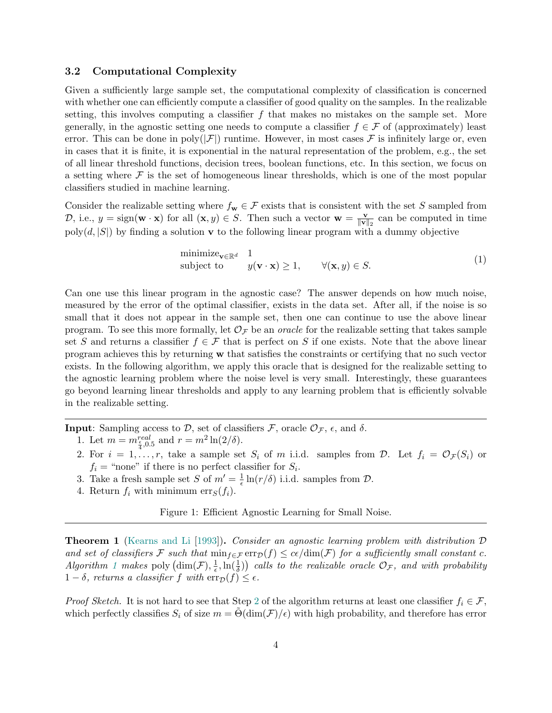### <span id="page-3-4"></span>3.2 Computational Complexity

Given a sufficiently large sample set, the computational complexity of classification is concerned with whether one can efficiently compute a classifier of good quality on the samples. In the realizable setting, this involves computing a classifier  $f$  that makes no mistakes on the sample set. More generally, in the agnostic setting one needs to compute a classifier  $f \in \mathcal{F}$  of (approximately) least error. This can be done in  $poly(|\mathcal{F}|)$  runtime. However, in most cases  $\mathcal F$  is infinitely large or, even in cases that it is finite, it is exponential in the natural representation of the problem, e.g., the set of all linear threshold functions, decision trees, boolean functions, etc. In this section, we focus on a setting where  $\mathcal F$  is the set of homogeneous linear thresholds, which is one of the most popular classifiers studied in machine learning.

Consider the realizable setting where  $f_{\mathbf{w}} \in \mathcal{F}$  exists that is consistent with the set S sampled from D, i.e.,  $y = sign(\mathbf{w} \cdot \mathbf{x})$  for all  $(\mathbf{x}, y) \in S$ . Then such a vector  $\mathbf{w} = \frac{\mathbf{v}}{\|\mathbf{w}\|}$  $\frac{\mathbf{v}}{\|\mathbf{v}\|_2}$  can be computed in time poly $(d, |S|)$  by finding a solution **v** to the following linear program with a dummy objective

<span id="page-3-3"></span>
$$
\begin{array}{ll}\text{minimize}_{\mathbf{v} \in \mathbb{R}^d} & 1\\ \text{subject to} & y(\mathbf{v} \cdot \mathbf{x}) \ge 1, \qquad \forall (\mathbf{x}, y) \in S. \end{array} \tag{1}
$$

Can one use this linear program in the agnostic case? The answer depends on how much noise, measured by the error of the optimal classifier, exists in the data set. After all, if the noise is so small that it does not appear in the sample set, then one can continue to use the above linear program. To see this more formally, let  $\mathcal{O}_F$  be an *oracle* for the realizable setting that takes sample set S and returns a classifier  $f \in \mathcal{F}$  that is perfect on S if one exists. Note that the above linear program achieves this by returning w that satisfies the constraints or certifying that no such vector exists. In the following algorithm, we apply this oracle that is designed for the realizable setting to the agnostic learning problem where the noise level is very small. Interestingly, these guarantees go beyond learning linear thresholds and apply to any learning problem that is efficiently solvable in the realizable setting.

**Input:** Sampling access to  $\mathcal{D}$ , set of classifiers  $\mathcal{F}$ , oracle  $\mathcal{O}_{\mathcal{F}}$ ,  $\epsilon$ , and  $\delta$ .

- 1. Let  $m = m_{\frac{\epsilon}{4},0.5}^{real}$  and  $r = m^2 \ln(2/\delta)$ .
- <span id="page-3-1"></span>2. For  $i = 1, \ldots, r$ , take a sample set  $S_i$  of m i.i.d. samples from D. Let  $f_i = \mathcal{O}_{\mathcal{F}}(S_i)$  or  $f_i$  = "none" if there is no perfect classifier for  $S_i$ .
- 3. Take a fresh sample set S of  $m' = \frac{1}{6}$  $\frac{1}{\epsilon} \ln(r/\delta)$  i.i.d. samples from  $\mathcal{D}$ .
- 4. Return  $f_i$  with minimum err<sub>S</sub> $(f_i)$ .

<span id="page-3-0"></span>Figure 1: Efficient Agnostic Learning for Small Noise.

<span id="page-3-2"></span>**Theorem 1** [\(Kearns and Li](#page-18-1) [\[1993\]](#page-18-1)). Consider an agnostic learning problem with distribution D and set of classifiers F such that  $\min_{f \in \mathcal{F}} \text{err}_{\mathcal{D}}(f) \leq c \epsilon / \dim(\mathcal{F})$  for a sufficiently small constant c. Algorithm [1](#page-3-0) makes poly  $(\dim(\mathcal{F}), \frac{1}{\epsilon})$  $\frac{1}{\epsilon}, \ln(\frac{1}{\delta})$  calls to the realizable oracle  $\mathcal{O}_{\mathcal{F}}$ , and with probability  $1 - \delta$ , returns a classifier f with  $\text{err}_{\mathcal{D}}(f) \leq \epsilon$ .

Proof Sketch. It is not hard to see that Step [2](#page-3-1) of the algorithm returns at least one classifier  $f_i \in \mathcal{F}$ , which perfectly classifies  $S_i$  of size  $m = \Theta(\dim(\mathcal{F})/\epsilon)$  with high probability, and therefore has error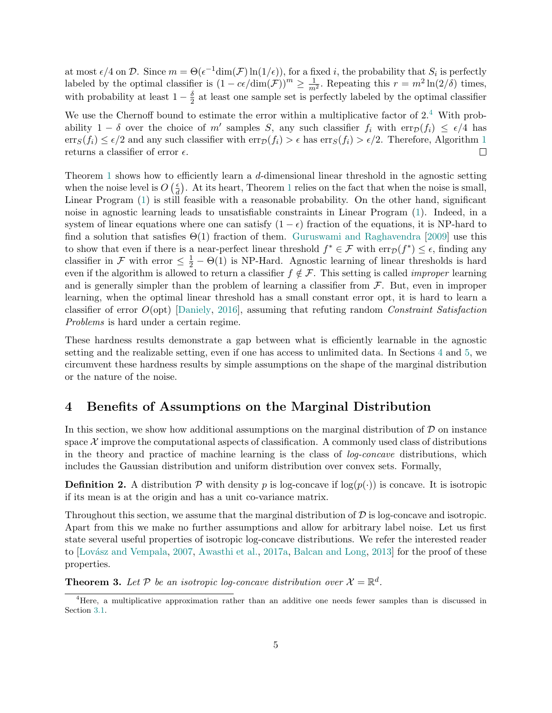at most  $\epsilon/4$  on D. Since  $m = \Theta(\epsilon^{-1} \dim(\mathcal{F}) \ln(1/\epsilon))$ , for a fixed i, the probability that  $S_i$  is perfectly labeled by the optimal classifier is  $(1 - c\epsilon/\text{dim}(\mathcal{F}))^m \ge \frac{1}{m^2}$ . Repeating this  $r = m^2 \ln(2/\delta)$  times, with probability at least  $1-\frac{\delta}{2}$  $\frac{\delta}{2}$  at least one sample set is perfectly labeled by the optimal classifier

We use the Chernoff bound to estimate the error within a multiplicative factor of  $2<sup>4</sup>$  $2<sup>4</sup>$  $2<sup>4</sup>$  With probability 1 –  $\delta$  over the choice of m' samples S, any such classifier  $f_i$  with  $\text{err}_{\mathcal{D}}(f_i) \leq \epsilon/4$  has  $\text{err}_S(f_i) \leq \epsilon/2$  and any such classifier with  $\text{err}_{\mathcal{D}}(f_i) > \epsilon$  has  $\text{err}_S(f_i) > \epsilon/2$ . Therefore, Algorithm [1](#page-3-0) returns a classifier of error  $\epsilon$ .  $\Box$ 

Theorem [1](#page-3-2) shows how to efficiently learn a d-dimensional linear threshold in the agnostic setting when the noise level is  $O\left(\frac{\epsilon}{d}\right)$  $\frac{\epsilon}{d}$ ). At its heart, Theorem [1](#page-3-2) relies on the fact that when the noise is small, Linear Program [\(1\)](#page-3-3) is still feasible with a reasonable probability. On the other hand, significant noise in agnostic learning leads to unsatisfiable constraints in Linear Program [\(1\)](#page-3-3). Indeed, in a system of linear equations where one can satisfy  $(1 - \epsilon)$  fraction of the equations, it is NP-hard to find a solution that satisfies  $\Theta(1)$  fraction of them. [Guruswami and Raghavendra](#page-18-2) [\[2009\]](#page-18-2) use this to show that even if there is a near-perfect linear threshold  $f^* \in \mathcal{F}$  with  $\text{err}_{\mathcal{D}}(f^*) \leq \epsilon$ , finding any classifier in F with error  $\leq \frac{1}{2} - \Theta(1)$  is NP-Hard. Agnostic learning of linear thresholds is hard even if the algorithm is allowed to return a classifier  $f \notin \mathcal{F}$ . This setting is called *improper* learning and is generally simpler than the problem of learning a classifier from  $\mathcal{F}$ . But, even in improper learning, when the optimal linear threshold has a small constant error opt, it is hard to learn a classifier of error  $O(\text{opt})$  [\[Daniely,](#page-18-3) [2016\]](#page-18-3), assuming that refuting random *Constraint Satisfaction* Problems is hard under a certain regime.

These hardness results demonstrate a gap between what is efficiently learnable in the agnostic setting and the realizable setting, even if one has access to unlimited data. In Sections [4](#page-4-0) and [5,](#page-12-0) we circumvent these hardness results by simple assumptions on the shape of the marginal distribution or the nature of the noise.

### <span id="page-4-0"></span>4 Benefits of Assumptions on the Marginal Distribution

In this section, we show how additional assumptions on the marginal distribution of  $\mathcal D$  on instance space  $\mathcal X$  improve the computational aspects of classification. A commonly used class of distributions in the theory and practice of machine learning is the class of log-concave distributions, which includes the Gaussian distribution and uniform distribution over convex sets. Formally,

**Definition 2.** A distribution P with density p is log-concave if  $log(p(\cdot))$  is concave. It is isotropic if its mean is at the origin and has a unit co-variance matrix.

Throughout this section, we assume that the marginal distribution of  $\mathcal D$  is log-concave and isotropic. Apart from this we make no further assumptions and allow for arbitrary label noise. Let us first state several useful properties of isotropic log-concave distributions. We refer the interested reader to [Lovász and Vempala, [2007,](#page-18-4) [Awasthi et al.,](#page-17-2) [2017a,](#page-17-2) [Balcan and Long,](#page-17-3) [2013\]](#page-17-3) for the proof of these properties.

<span id="page-4-2"></span>**Theorem 3.** Let  $P$  be an isotropic log-concave distribution over  $\mathcal{X} = \mathbb{R}^d$ .

<span id="page-4-1"></span><sup>4</sup>Here, a multiplicative approximation rather than an additive one needs fewer samples than is discussed in Section [3.1.](#page-2-3)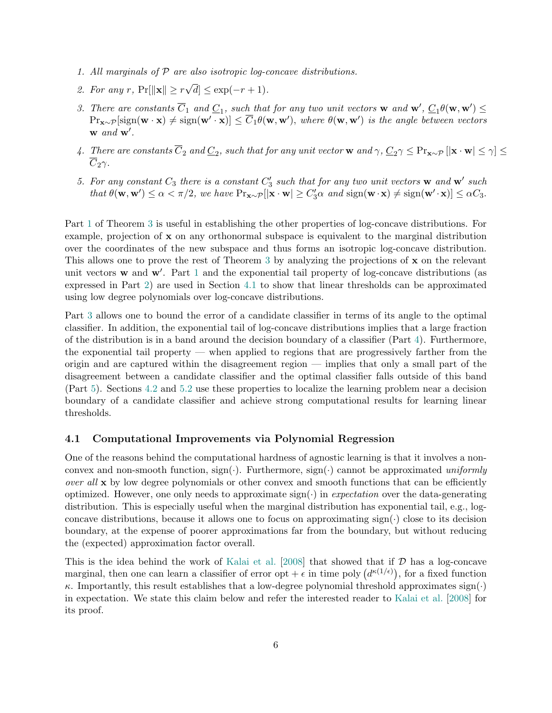- <span id="page-5-0"></span>1. All marginals of P are also isotropic log-concave distributions.
- <span id="page-5-1"></span>2. For any r,  $Pr[\|\mathbf{x}\| \geq r]$ √  $d \leq \exp(-r+1)$ .
- <span id="page-5-3"></span>3. There are constants  $\overline{C}_1$  and  $\underline{C}_1$ , such that for any two unit vectors **w** and **w'**,  $\underline{C}_1\theta(\mathbf{w},\mathbf{w}') \leq$  $\Pr_{\mathbf{x} \sim \mathcal{P}}[\text{sign}(\mathbf{w} \cdot \mathbf{x}) \neq \text{sign}(\mathbf{w}' \cdot \mathbf{x})] \leq \overline{C}_1 \theta(\mathbf{w}, \mathbf{w}')$ , where  $\theta(\mathbf{w}, \mathbf{w}')$  is the angle between vectors  $\mathbf{w}$  and  $\mathbf{w}'$ .
- <span id="page-5-4"></span>4. There are constants  $\overline{C}_2$  and  $\underline{C}_2$ , such that for any unit vector **w** and  $\gamma$ ,  $\underline{C}_2\gamma \leq \Pr_{\mathbf{x}\sim\mathcal{P}}\left[\left|\mathbf{x}\cdot\mathbf{w}\right|\leq\gamma\right]\leq$  $\overline{C}$ <sub>2</sub>γ.
- <span id="page-5-5"></span>5. For any constant  $C_3$  there is a constant  $C'_3$  such that for any two unit vectors **w** and **w**' such that  $\theta(\mathbf{w}, \mathbf{w}') \leq \alpha < \pi/2$ , we have  $\Pr_{\mathbf{x} \sim \mathcal{P}}[|\mathbf{x} \cdot \mathbf{w}| \geq C_3'\alpha$  and  $\text{sign}(\mathbf{w} \cdot \mathbf{x}) \neq \text{sign}(\mathbf{w}' \cdot \mathbf{x})] \leq \alpha C_3$ .

Part [1](#page-5-0) of Theorem [3](#page-4-2) is useful in establishing the other properties of log-concave distributions. For example, projection of  $x$  on any orthonormal subspace is equivalent to the marginal distribution over the coordinates of the new subspace and thus forms an isotropic log-concave distribution. This allows one to prove the rest of Theorem [3](#page-4-2) by analyzing the projections of x on the relevant unit vectors  $w$  and  $w'$ . Part [1](#page-5-0) and the exponential tail property of log-concave distributions (as expressed in Part [2\)](#page-5-1) are used in Section [4.1](#page-5-2) to show that linear thresholds can be approximated using low degree polynomials over log-concave distributions.

Part [3](#page-5-3) allows one to bound the error of a candidate classifier in terms of its angle to the optimal classifier. In addition, the exponential tail of log-concave distributions implies that a large fraction of the distribution is in a band around the decision boundary of a classifier (Part [4\)](#page-5-4). Furthermore, the exponential tail property — when applied to regions that are progressively farther from the origin and are captured within the disagreement region — implies that only a small part of the disagreement between a candidate classifier and the optimal classifier falls outside of this band (Part [5\)](#page-5-5). Sections [4.2](#page-8-0) and [5.2](#page-13-0) use these properties to localize the learning problem near a decision boundary of a candidate classifier and achieve strong computational results for learning linear thresholds.

#### <span id="page-5-2"></span>4.1 Computational Improvements via Polynomial Regression

One of the reasons behind the computational hardness of agnostic learning is that it involves a nonconvex and non-smooth function,  $sign(\cdot)$ . Furthermore,  $sign(\cdot)$  cannot be approximated uniformly over all  $x$  by low degree polynomials or other convex and smooth functions that can be efficiently optimized. However, one only needs to approximate  $sign(\cdot)$  in *expectation* over the data-generating distribution. This is especially useful when the marginal distribution has exponential tail, e.g., logconcave distributions, because it allows one to focus on approximating  $sign(\cdot)$  close to its decision boundary, at the expense of poorer approximations far from the boundary, but without reducing the (expected) approximation factor overall.

This is the idea behind the work of [Kalai et al.](#page-18-5)  $[2008]$  that showed that if  $D$  has a log-concave marginal, then one can learn a classifier of error opt  $+\epsilon$  in time poly  $(d^{\kappa(1/\epsilon)})$ , for a fixed function  $\kappa$ . Importantly, this result establishes that a low-degree polynomial threshold approximates sign( $\cdot$ ) in expectation. We state this claim below and refer the interested reader to [Kalai et al.](#page-18-5) [\[2008\]](#page-18-5) for its proof.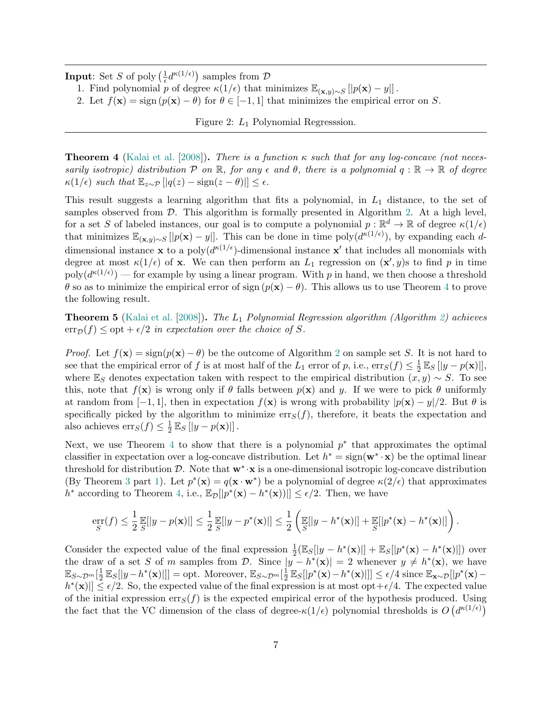**Input:** Set S of poly  $\left(\frac{1}{\epsilon}\right)$  $\frac{1}{\epsilon} d^{\kappa(1/\epsilon)}$  samples from  $\mathcal{D}$ 

1. Find polynomial p of degree  $\kappa(1/\epsilon)$  that minimizes  $\mathbb{E}_{(\mathbf{x},y)\sim S}[[p(\mathbf{x})-y]].$ 

2. Let  $f(\mathbf{x}) = \text{sign}(p(\mathbf{x}) - \theta)$  for  $\theta \in [-1, 1]$  that minimizes the empirical error on S.

<span id="page-6-0"></span>Figure 2:  $L_1$  Polynomial Regresssion.

<span id="page-6-1"></span>**Theorem 4** [\(Kalai et al.](#page-18-5) [\[2008\]](#page-18-5)). There is a function  $\kappa$  such that for any log-concave (not necessarily isotropic) distribution P on R, for any  $\epsilon$  and  $\theta$ , there is a polynomial  $q : \mathbb{R} \to \mathbb{R}$  of degree  $\kappa(1/\epsilon)$  such that  $\mathbb{E}_{z\sim\mathcal{P}}\left[|q(z) - \text{sign}(z-\theta)|\right] \leq \epsilon$ .

This result suggests a learning algorithm that fits a polynomial, in  $L_1$  distance, to the set of samples observed from  $D$ . This algorithm is formally presented in Algorithm [2.](#page-6-0) At a high level, for a set S of labeled instances, our goal is to compute a polynomial  $p : \mathbb{R}^d \to \mathbb{R}$  of degree  $\kappa(1/\epsilon)$ that minimizes  $\mathbb{E}_{(\mathbf{x},y)\sim S}[p(\mathbf{x})-y]$ . This can be done in time poly $(d^{\kappa(1/\epsilon)})$ , by expanding each ddimensional instance **x** to a poly $(d^{\kappa(1/\epsilon})$ -dimensional instance **x**' that includes all monomials with degree at most  $\kappa(1/\epsilon)$  of **x**. We can then perform an  $L_1$  regression on  $(\mathbf{x}', y)$ s to find p in time  $\text{poly}(d^{\kappa(1/\epsilon)})$  — for example by using a linear program. With p in hand, we then choose a threshold  $\theta$  so as to minimize the empirical error of sign  $(p(x) - \theta)$ . This allows us to use Theorem [4](#page-6-1) to prove the following result.

<span id="page-6-2"></span>**Theorem 5** [\(Kalai et al.](#page-18-5) [\[2008\]](#page-18-5)). The  $L_1$  Polynomial Regression algorithm (Algorithm [2\)](#page-6-0) achieves  $\text{err}_{\mathcal{D}}(f) \leq \text{opt} + \epsilon/2$  in expectation over the choice of S.

*Proof.* Let  $f(\mathbf{x}) = \text{sign}(p(\mathbf{x}) - \theta)$  be the outcome of Algorithm [2](#page-6-0) on sample set S. It is not hard to see that the empirical error of f is at most half of the  $L_1$  error of p, i.e.,  $\text{err}_S(f) \leq \frac{1}{2}$  $\frac{1}{2}$   $\mathbb{E}_S$  [|y – p(**x**)|], where  $\mathbb{E}_S$  denotes expectation taken with respect to the empirical distribution  $(x, y) \sim S$ . To see this, note that  $f(\mathbf{x})$  is wrong only if  $\theta$  falls between  $p(\mathbf{x})$  and y. If we were to pick  $\theta$  uniformly at random from [−1, 1], then in expectation  $f(\mathbf{x})$  is wrong with probability  $|p(\mathbf{x}) - y|/2$ . But  $\theta$  is specifically picked by the algorithm to minimize  $err_S(f)$ , therefore, it beats the expectation and also achieves  $\text{err}_S(f) \leq \frac{1}{2}$  $\frac{1}{2}$   $\mathbb{E}_S$  [|y – p(**x**)|].

Next, we use Theorem [4](#page-6-1) to show that there is a polynomial  $p^*$  that approximates the optimal classifier in expectation over a log-concave distribution. Let  $h^* = sign(\mathbf{w}^* \cdot \mathbf{x})$  be the optimal linear threshold for distribution  $D$ . Note that  $\mathbf{w}^* \cdot \mathbf{x}$  is a one-dimensional isotropic log-concave distribution (By Theorem [3](#page-4-2) part [1\)](#page-5-0). Let  $p^*(\mathbf{x}) = q(\mathbf{x} \cdot \mathbf{w}^*)$  be a polynomial of degree  $\kappa(2/\epsilon)$  that approximates  $h^*$  according to Theorem [4,](#page-6-1) i.e.,  $\mathbb{E}_{\mathcal{D}}[|p^*(\mathbf{x}) - h^*(\mathbf{x}))|] \leq \epsilon/2$ . Then, we have

$$
\underset{S}{\text{err}}(f) \leq \frac{1}{2} \mathbb{E}[|y - p(\mathbf{x})|] \leq \frac{1}{2} \mathbb{E}[|y - p^*(\mathbf{x})|] \leq \frac{1}{2} \left( \mathbb{E}[|y - h^*(\mathbf{x})|] + \mathbb{E}[|p^*(\mathbf{x}) - h^*(\mathbf{x})|] \right)
$$

.

Consider the expected value of the final expression  $\frac{1}{2}$  $(\mathbb{E}_S[|y-h^*(\mathbf{x})|] + \mathbb{E}_S[|p^*(\mathbf{x})-h^*(\mathbf{x})|]$  over the draw of a set S of m samples from D. Since  $|y - h^{*}(\mathbf{x})| = 2$  whenever  $y \neq h^{*}(\mathbf{x})$ , we have  $\mathbb{E}_{S\sim\mathcal{D}^m}[\frac{1}{2}]$  $\frac{1}{2} \mathbb{E}_S[|y-h^*(\mathbf{x})|]] = \text{opt. Moreover, } \mathbb{E}_{S \sim \mathcal{D}^m}[\frac{1}{2}]$  $\frac{1}{2} \mathbb{E}_S[|p^*(\mathbf{x}) - h^*(\mathbf{x})|]] \le \epsilon/4$  since  $\mathbb{E}_{\mathbf{x} \sim \mathcal{D}}[|p^*(\mathbf{x}) |h^*(\mathbf{x})|| \leq \epsilon/2$ . So, the expected value of the final expression is at most opt + $\epsilon/4$ . The expected value of the initial expression  $err_S(f)$  is the expected empirical error of the hypothesis produced. Using the fact that the VC dimension of the class of degree- $\kappa(1/\epsilon)$  polynomial thresholds is  $O(d^{\kappa(1/\epsilon)})$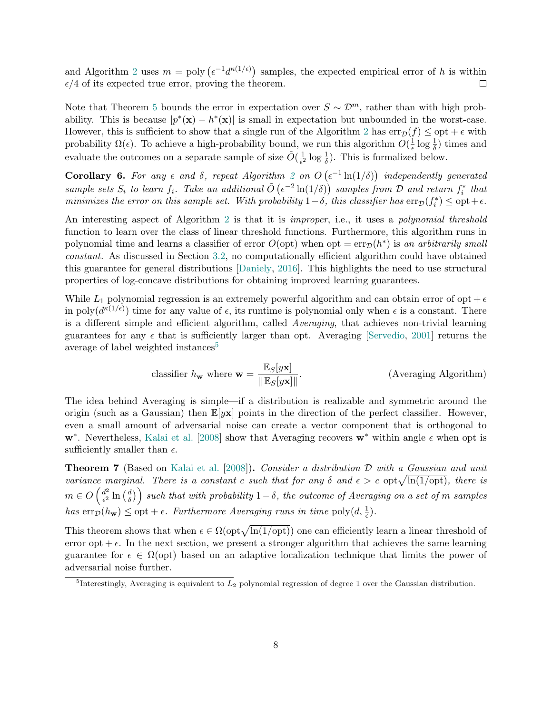and Algorithm [2](#page-6-0) uses  $m = \text{poly}(\epsilon^{-1} d^{\kappa(1/\epsilon)})$  samples, the expected empirical error of h is within  $\epsilon/4$  of its expected true error, proving the theorem.  $\Box$ 

Note that Theorem [5](#page-6-2) bounds the error in expectation over  $S \sim \mathcal{D}^m$ , rather than with high probability. This is because  $|p^*(\mathbf{x}) - h^*(\mathbf{x})|$  is small in expectation but unbounded in the worst-case. However, this is sufficient to show that a single run of the Algorithm [2](#page-6-0) has  $\text{err}_{\mathcal{D}}(f) \leq \text{opt} + \epsilon$  with probability  $\Omega(\epsilon)$ . To achieve a high-probability bound, we run this algorithm  $O(\frac{1}{\epsilon})$  $\frac{1}{\epsilon} \log \frac{1}{\delta}$  times and evaluate the outcomes on a separate sample of size  $\tilde{O}(\frac{1}{\epsilon^2})$  $\frac{1}{\epsilon^2} \log \frac{1}{\delta}$ . This is formalized below.

**Corollary 6.** For any  $\epsilon$  and  $\delta$ , repeat Algorithm [2](#page-6-0) on  $O(\epsilon^{-1} \ln(1/\delta))$  independently generated sample sets  $S_i$  to learn  $f_i$ . Take an additional  $\tilde{O}(\epsilon^{-2}\ln(1/\delta))$  samples from  $\mathcal D$  and return  $f_i^*$  that minimizes the error on this sample set. With probability  $1-\delta$ , this classifier has  $\text{err}_{\mathcal{D}}(f_i^*) \leq \text{opt}+\epsilon$ .

An interesting aspect of Algorithm [2](#page-6-0) is that it is improper, i.e., it uses a polynomial threshold function to learn over the class of linear threshold functions. Furthermore, this algorithm runs in polynomial time and learns a classifier of error  $O(\text{opt})$  when  $\text{opt} = \text{err}_{\mathcal{D}}(h^*)$  is an arbitrarily small constant. As discussed in Section [3.2,](#page-3-4) no computationally efficient algorithm could have obtained this guarantee for general distributions [\[Daniely,](#page-18-3) [2016\]](#page-18-3). This highlights the need to use structural properties of log-concave distributions for obtaining improved learning guarantees.

While  $L_1$  polynomial regression is an extremely powerful algorithm and can obtain error of opt  $+\epsilon$ in poly $(d^{\kappa(1/\epsilon)})$  time for any value of  $\epsilon$ , its runtime is polynomial only when  $\epsilon$  is a constant. There is a different simple and efficient algorithm, called *Averaging*, that achieves non-trivial learning guarantees for any  $\epsilon$  that is sufficiently larger than opt. Averaging [\[Servedio,](#page-18-6) [2001\]](#page-18-6) returns the average of label weighted instances<sup>[5](#page-7-0)</sup>

$$
\text{ classifier } h_{\mathbf{w}} \text{ where } \mathbf{w} = \frac{\mathbb{E}_S[y\mathbf{x}]}{\|\mathbb{E}_S[y\mathbf{x}]\|}. \tag{Averaging Algorithm}
$$

The idea behind Averaging is simple—if a distribution is realizable and symmetric around the origin (such as a Gaussian) then  $\mathbb{E}[y\mathbf{x}]$  points in the direction of the perfect classifier. However, even a small amount of adversarial noise can create a vector component that is orthogonal to w<sup>\*</sup>. Nevertheless, [Kalai et al.](#page-18-5) [\[2008\]](#page-18-5) show that Averaging recovers w<sup>\*</sup> within angle  $\epsilon$  when opt is sufficiently smaller than  $\epsilon$ .

<span id="page-7-1"></span>Theorem 7 (Based on [Kalai et al.](#page-18-5) [\[2008\]](#page-18-5)). Consider a distribution D with a Gaussian and unit variance marginal. There is a constant c such that for any  $\delta$  and  $\epsilon > c$  opt $\sqrt{\ln(1/\text{opt})}$ , there is  $m \in O\left(\frac{d^2}{\epsilon^2}\right)$  $\frac{d^2}{\epsilon^2}\ln\big(\frac{d}{\delta}$  $\left(\frac{d}{\delta}\right)$  such that with probability  $1-\delta$ , the outcome of Averaging on a set of m samples has  $\text{err}_{\mathcal{D}}(h_{\mathbf{w}}) \leq \text{opt} + \epsilon$ . Furthermore Averaging runs in time  $\text{poly}(d, \frac{1}{\epsilon})$ .

This theorem shows that when  $\epsilon \in \Omega(\text{opt}\sqrt{\ln(1/\text{opt})})$  one can efficiently learn a linear threshold of error opt  $+\epsilon$ . In the next section, we present a stronger algorithm that achieves the same learning guarantee for  $\epsilon \in \Omega(\text{opt})$  based on an adaptive localization technique that limits the power of adversarial noise further.

<span id="page-7-0"></span><sup>&</sup>lt;sup>5</sup>Interestingly, Averaging is equivalent to  $L_2$  polynomial regression of degree 1 over the Gaussian distribution.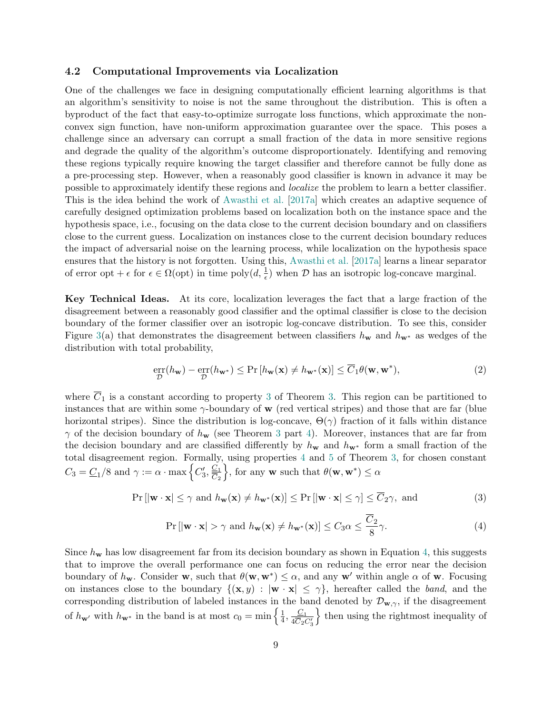### <span id="page-8-0"></span>4.2 Computational Improvements via Localization

One of the challenges we face in designing computationally efficient learning algorithms is that an algorithm's sensitivity to noise is not the same throughout the distribution. This is often a byproduct of the fact that easy-to-optimize surrogate loss functions, which approximate the nonconvex sign function, have non-uniform approximation guarantee over the space. This poses a challenge since an adversary can corrupt a small fraction of the data in more sensitive regions and degrade the quality of the algorithm's outcome disproportionately. Identifying and removing these regions typically require knowing the target classifier and therefore cannot be fully done as a pre-processing step. However, when a reasonably good classifier is known in advance it may be possible to approximately identify these regions and localize the problem to learn a better classifier. This is the idea behind the work of [Awasthi et al.](#page-17-2) [\[2017a\]](#page-17-2) which creates an adaptive sequence of carefully designed optimization problems based on localization both on the instance space and the hypothesis space, i.e., focusing on the data close to the current decision boundary and on classifiers close to the current guess. Localization on instances close to the current decision boundary reduces the impact of adversarial noise on the learning process, while localization on the hypothesis space ensures that the history is not forgotten. Using this, [Awasthi et al.](#page-17-2) [\[2017a\]](#page-17-2) learns a linear separator of error opt +  $\epsilon$  for  $\epsilon \in \Omega(\text{opt})$  in time  $\text{poly}(d, \frac{1}{\epsilon})$  when  $\mathcal D$  has an isotropic log-concave marginal.

Key Technical Ideas. At its core, localization leverages the fact that a large fraction of the disagreement between a reasonably good classifier and the optimal classifier is close to the decision boundary of the former classifier over an isotropic log-concave distribution. To see this, consider Figure [3\(](#page-9-0)a) that demonstrates the disagreement between classifiers  $h_{\mathbf{w}}$  and  $h_{\mathbf{w}^*}$  as wedges of the distribution with total probability,

<span id="page-8-3"></span>
$$
\Pr_{\mathcal{D}}(h_{\mathbf{w}}) - \Pr_{\mathcal{D}}(h_{\mathbf{w}^*}) \le \Pr\left[h_{\mathbf{w}}(\mathbf{x}) \ne h_{\mathbf{w}^*}(\mathbf{x})\right] \le \overline{C}_1 \theta(\mathbf{w}, \mathbf{w}^*),\tag{2}
$$

where  $\overline{C}_1$  is a constant according to property [3](#page-5-3) of Theorem [3.](#page-4-2) This region can be partitioned to instances that are within some  $\gamma$ -boundary of **w** (red vertical stripes) and those that are far (blue horizontal stripes). Since the distribution is log-concave,  $\Theta(\gamma)$  fraction of it falls within distance  $\gamma$  of the decision boundary of  $h_{\mathbf{w}}$  (see Theorem [3](#page-4-2) part [4\)](#page-5-4). Moreover, instances that are far from the decision boundary and are classified differently by  $h_{\mathbf{w}}$  and  $h_{\mathbf{w}^*}$  form a small fraction of the total disagreement region. Formally, using properties [4](#page-5-4) and [5](#page-5-5) of Theorem [3,](#page-4-2) for chosen constant  $C_3 = \underline{C}_1/8$  and  $\gamma := \alpha \cdot \max\left\{C'_3, \frac{\underline{C}_1}{\overline{C}_2}\right\}$  $\scriptstyle C_2$  $\},\$ for any **w** such that  $\theta(\mathbf{w},\mathbf{w}^*)\leq \alpha$ 

<span id="page-8-2"></span>
$$
\Pr\left[|\mathbf{w} \cdot \mathbf{x}| \le \gamma \text{ and } h_{\mathbf{w}}(\mathbf{x}) \ne h_{\mathbf{w}^*}(\mathbf{x})\right] \le \Pr\left[|\mathbf{w} \cdot \mathbf{x}| \le \gamma\right] \le \overline{C}_2 \gamma, \text{ and } (3)
$$

<span id="page-8-1"></span>
$$
\Pr\left[|\mathbf{w} \cdot \mathbf{x}| > \gamma \text{ and } h_{\mathbf{w}}(\mathbf{x}) \neq h_{\mathbf{w}^*}(\mathbf{x})\right] \le C_3 \alpha \le \frac{\overline{C}_2}{8} \gamma. \tag{4}
$$

Since  $h_{\bf w}$  has low disagreement far from its decision boundary as shown in Equation [4,](#page-8-1) this suggests that to improve the overall performance one can focus on reducing the error near the decision boundary of  $h_{\mathbf{w}}$ . Consider **w**, such that  $\theta(\mathbf{w}, \mathbf{w}^*) \leq \alpha$ , and any **w'** within angle  $\alpha$  of **w**. Focusing on instances close to the boundary  $\{(\mathbf{x}, y) : |\mathbf{w} \cdot \mathbf{x}| \leq \gamma\}$ , hereafter called the band, and the corresponding distribution of labeled instances in the band denoted by  $\mathcal{D}_{\mathbf{w},\gamma}$ , if the disagreement of  $h_{\mathbf{w'}}$  with  $h_{\mathbf{w^*}}$  in the band is at most  $c_0 = \min \left\{ \frac{1}{4} \right\}$  $\frac{1}{4},\frac{C_1}{4\overline{C}_26}$  $4\overline{C}_2C_3'$ } then using the rightmost inequality of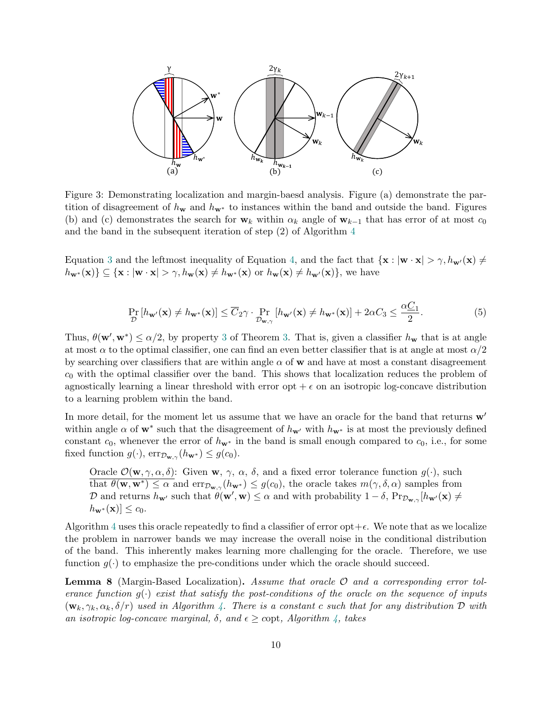

<span id="page-9-0"></span>Figure 3: Demonstrating localization and margin-baesd analysis. Figure (a) demonstrate the partition of disagreement of  $h_{\mathbf{w}}$  and  $h_{\mathbf{w}}*$  to instances within the band and outside the band. Figures (b) and (c) demonstrates the search for  $w_k$  within  $\alpha_k$  angle of  $w_{k-1}$  that has error of at most  $c_0$ and the band in the subsequent iteration of step (2) of Algorithm [4](#page-10-0)

Equation [3](#page-8-2) and the leftmost inequality of Equation [4,](#page-8-1) and the fact that  $\{x : |w \cdot x| > \gamma, h_{w'}(x) \neq 0\}$  $h_{\mathbf{w}^*}(\mathbf{x})\} \subseteq {\mathbf{x} : |\mathbf{w} \cdot \mathbf{x}| > \gamma, h_{\mathbf{w}}(\mathbf{x}) \neq h_{\mathbf{w}^*}(\mathbf{x}) \text{ or } h_{\mathbf{w}}(\mathbf{x}) \neq h_{\mathbf{w}'}(\mathbf{x})\},\text{ we have}$ 

<span id="page-9-1"></span>
$$
\Pr_{\mathcal{D}}\left[h_{\mathbf{w}'}(\mathbf{x}) \neq h_{\mathbf{w}^*}(\mathbf{x})\right] \leq \overline{C}_2 \gamma \cdot \Pr_{\mathcal{D}_{\mathbf{w},\gamma}}\left[h_{\mathbf{w}'}(\mathbf{x}) \neq h_{\mathbf{w}^*}(\mathbf{x})\right] + 2\alpha C_3 \leq \frac{\alpha \underline{C}_1}{2}.\tag{5}
$$

Thus,  $\theta(\mathbf{w}', \mathbf{w}^*) \le \alpha/2$ , by property [3](#page-5-3) of Theorem [3.](#page-4-2) That is, given a classifier  $h_{\mathbf{w}}$  that is at angle at most  $\alpha$  to the optimal classifier, one can find an even better classifier that is at angle at most  $\alpha/2$ by searching over classifiers that are within angle  $\alpha$  of w and have at most a constant disagreement  $c_0$  with the optimal classifier over the band. This shows that localization reduces the problem of agnostically learning a linear threshold with error opt  $+\epsilon$  on an isotropic log-concave distribution to a learning problem within the band.

In more detail, for the moment let us assume that we have an oracle for the band that returns  $\mathbf{w}'$ within angle  $\alpha$  of w<sup>∗</sup> such that the disagreement of  $h_{w'}$  with  $h_{w^*}$  is at most the previously defined constant  $c_0$ , whenever the error of  $h_{w^*}$  in the band is small enough compared to  $c_0$ , i.e., for some fixed function  $g(\cdot)$ ,  $\text{err}_{\mathcal{D}_{\mathbf{w},\gamma}}(h_{\mathbf{w}^*}) \leq g(c_0)$ .

Oracle  $\mathcal{O}(\mathbf{w}, \gamma, \alpha, \delta)$ : Given **w**,  $\gamma$ ,  $\alpha$ ,  $\delta$ , and a fixed error tolerance function  $g(\cdot)$ , such that  $\theta(\mathbf{w}, \mathbf{w}^*) \leq \alpha$  and  $\text{err}_{\mathcal{D}_{\mathbf{w}, \gamma}}(h_{\mathbf{w}^*}) \leq g(c_0)$ , the oracle takes  $m(\gamma, \delta, \alpha)$  samples from D and returns  $h_{\mathbf{w'}}$  such that  $\theta(\mathbf{w'}, \mathbf{w}) \leq \alpha$  and with probability  $1 - \delta$ ,  $Pr_{\mathcal{D}_{\mathbf{w}, \gamma}}[h_{\mathbf{w'}}(\mathbf{x}) \neq$  $h_{\mathbf{w}^*}(\mathbf{x})] \leq c_0.$ 

Algorithm [4](#page-10-0) uses this oracle repeatedly to find a classifier of error opt $+\epsilon$ . We note that as we localize the problem in narrower bands we may increase the overall noise in the conditional distribution of the band. This inherently makes learning more challenging for the oracle. Therefore, we use function  $g(\cdot)$  to emphasize the pre-conditions under which the oracle should succeed.

<span id="page-9-2"></span>**Lemma 8** (Margin-Based Localization). Assume that oracle  $\mathcal{O}$  and a corresponding error tolerance function  $g(\cdot)$  exist that satisfy the post-conditions of the oracle on the sequence of inputs  $(\mathbf{w}_k, \gamma_k, \alpha_k, \delta/r)$  used in Algorithm [4.](#page-10-0) There is a constant c such that for any distribution D with an isotropic log-concave marginal,  $\delta$ , and  $\epsilon \geq$  copt, Algorithm [4,](#page-10-0) takes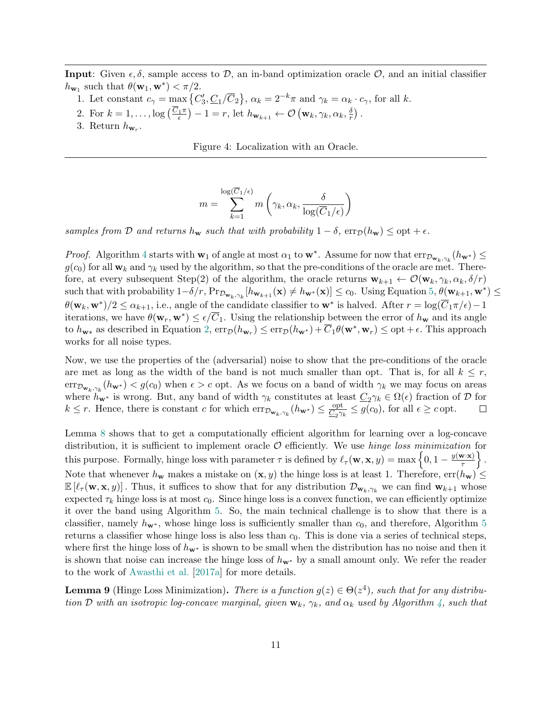**Input:** Given  $\epsilon, \delta$ , sample access to  $\mathcal{D}$ , an in-band optimization oracle  $\mathcal{O}$ , and an initial classifier  $h_{\mathbf{w}_1}$  such that  $\theta(\mathbf{w}_1, \mathbf{w}^*) < \pi/2$ .

- 1. Let constant  $c_{\gamma} = \max\left\{C_3', \underline{C}_1/\overline{C}_2\right\}$ ,  $\alpha_k = 2^{-k}\pi$  and  $\gamma_k = \alpha_k \cdot c_{\gamma}$ , for all k.
- 2. For  $k = 1, ..., \log\left(\frac{C_1 \pi}{\epsilon}\right) 1 = r$ , let  $h_{\mathbf{w}_{k+1}} \leftarrow \mathcal{O}\left(\mathbf{w}_k, \gamma_k, \alpha_k, \frac{\delta}{r}\right)$  $\frac{\delta}{r})$  .
- 3. Return  $h_{\mathbf{w}_r}$ .

<span id="page-10-0"></span>Figure 4: Localization with an Oracle.

$$
m = \sum_{k=1}^{\log(\overline{C}_1/\epsilon)} m\left(\gamma_k, \alpha_k, \frac{\delta}{\log(\overline{C}_1/\epsilon)}\right)
$$

samples from D and returns h<sub>w</sub> such that with probability  $1 - \delta$ , err $p(h_{\mathbf{w}}) \leq \mathrm{opt} + \epsilon$ .

Proof. Algorithm [4](#page-10-0) starts with  $\mathbf{w}_1$  of angle at most  $\alpha_1$  to  $\mathbf{w}^*$ . Assume for now that  $\text{err}_{\mathcal{D}_{\mathbf{w}_k,\gamma_k}}(h_{\mathbf{w}^*}) \leq$  $g(c_0)$  for all  $\mathbf{w}_k$  and  $\gamma_k$  used by the algorithm, so that the pre-conditions of the oracle are met. Therefore, at every subsequent Step(2) of the algorithm, the oracle returns  $\mathbf{w}_{k+1} \leftarrow \mathcal{O}(\mathbf{w}_k, \gamma_k, \alpha_k, \delta/r)$ such that with probability  $1-\delta/r$ ,  $Pr_{\mathcal{D}_{\mathbf{w}_k,\gamma_k}}[h_{\mathbf{w}_{k+1}}(\mathbf{x}) \neq h_{\mathbf{w}^*}(\mathbf{x})] \leq c_0$ . Using Equation [5,](#page-9-1)  $\theta(\mathbf{w}_{k+1}, \mathbf{w}^*) \leq$  $\theta(\mathbf{w}_k, \mathbf{w}^*)/2 \leq \alpha_{k+1}$ , i.e., angle of the candidate classifier to  $\mathbf{w}^*$  is halved. After  $r = \log(\overline{C}_1 \pi/\epsilon) - 1$ iterations, we have  $\theta(\mathbf{w}_r, \mathbf{w}^*) \leq \epsilon/\overline{C}_1$ . Using the relationship between the error of  $h_{\mathbf{w}}$  and its angle to  $h_{\mathbf{w}*}$  as described in Equation [2,](#page-8-3)  $\text{err}_{\mathcal{D}}(h_{\mathbf{w}*}) \leq \text{err}_{\mathcal{D}}(h_{\mathbf{w}*}) + \overline{C}_1 \theta(\mathbf{w}^*, \mathbf{w}_r) \leq \text{opt} + \epsilon$ . This approach works for all noise types.

Now, we use the properties of the (adversarial) noise to show that the pre-conditions of the oracle are met as long as the width of the band is not much smaller than opt. That is, for all  $k \leq r$ ,  $err_{\mathcal{D}_{\mathbf{w}_k,\gamma_k}}(h_{\mathbf{w}^*}) < g(c_0)$  when  $\epsilon > c$  opt. As we focus on a band of width  $\gamma_k$  we may focus on areas where  $h_{\mathbf{w}^*}$  is wrong. But, any band of width  $\gamma_k$  constitutes at least  $\underline{C}_2\gamma_k \in \Omega(\epsilon)$  fraction of  $\mathcal D$  for  $k \leq r$ . Hence, there is constant c for which  $\text{err}_{\mathcal{D}_{\mathbf{w}_k, \gamma_k}}(h_{\mathbf{w}^*}) \leq \frac{\text{opt}}{\underline{C}_2\gamma}$  $\frac{\partial \mathrm{pt}}{\partial \mathcal{L}_2 \gamma_k} \leq g(c_0)$ , for all  $\epsilon \geq c$  opt.  $\Box$ 

Lemma [8](#page-9-2) shows that to get a computationally efficient algorithm for learning over a log-concave distribution, it is sufficient to implement oracle  $\mathcal O$  efficiently. We use *hinge loss minimization* for this purpose. Formally, hinge loss with parameter  $\tau$  is defined by  $\ell_{\tau}(\mathbf{w}, \mathbf{x}, y) = \max \left\{0, 1 - \frac{y(\mathbf{w} \cdot \mathbf{x})}{\tau}\right\}$  $\frac{\mathbf{w}\cdot\mathbf{x})}{\tau}$ . Note that whenever  $h_{\mathbf{w}}$  makes a mistake on  $(\mathbf{x}, y)$  the hinge loss is at least 1. Therefore,  $\text{err}(h_{\mathbf{w}}) \leq$  $\mathbb{E}[\ell_\tau(\mathbf{w}, \mathbf{x}, y)]$ . Thus, it suffices to show that for any distribution  $\mathcal{D}_{\mathbf{w}_k, \gamma_k}$  we can find  $\mathbf{w}_{k+1}$  whose expected  $\tau_k$  hinge loss is at most  $c_0$ . Since hinge loss is a convex function, we can efficiently optimize it over the band using Algorithm [5.](#page-11-0) So, the main technical challenge is to show that there is a classifier, namely  $h_{w^*}$ , whose hinge loss is sufficiently smaller than  $c_0$ , and therefore, Algorithm [5](#page-11-0) returns a classifier whose hinge loss is also less than  $c_0$ . This is done via a series of technical steps, where first the hinge loss of  $h_{w*}$  is shown to be small when the distribution has no noise and then it is shown that noise can increase the hinge loss of  $h_{w*}$  by a small amount only. We refer the reader to the work of [Awasthi et al.](#page-17-2) [\[2017a\]](#page-17-2) for more details.

<span id="page-10-1"></span>**Lemma 9** (Hinge Loss Minimization). There is a function  $g(z) \in \Theta(z^4)$ , such that for any distribution D with an isotropic log-concave marginal, given  $w_k$ ,  $\gamma_k$ , and  $\alpha_k$  used by Algorithm [4,](#page-10-0) such that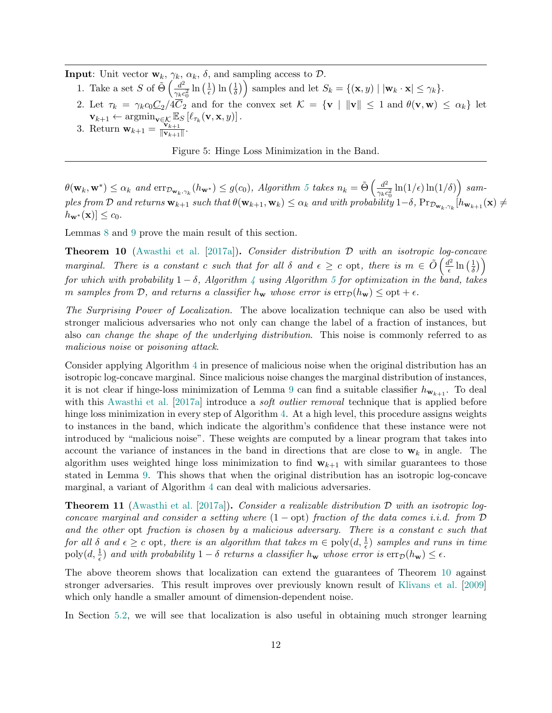**Input:** Unit vector  $\mathbf{w}_k$ ,  $\gamma_k$ ,  $\alpha_k$ ,  $\delta$ , and sampling access to  $\mathcal{D}$ .

- 1. Take a set S of  $\tilde{\Theta} \left( \frac{d^2}{dx^2} \right)$  $\frac{d^2}{\gamma_k c_0^2} \ln\left(\frac{1}{\epsilon}\right)$  $\frac{1}{\epsilon}$ ) ln  $\left(\frac{1}{\delta}\right)$  $\left(\frac{1}{\delta}\right)$  samples and let  $S_k = \{(\mathbf{x}, y) \mid |\mathbf{w}_k \cdot \mathbf{x}| \leq \gamma_k\}.$
- 2. Let  $\tau_k = \gamma_k c_0 C_2 / 4\overline{C}_2$  and for the convex set  $\mathcal{K} = \{v \mid ||v|| \leq 1 \text{ and } \theta(v, w) \leq \alpha_k\}$  let  $\mathbf{v}_{k+1} \leftarrow \operatorname{argmin}_{\mathbf{v} \in \mathcal{K}} \mathbb{E}_S \left[ \ell_{\tau_k}(\mathbf{v}, \mathbf{x}, y) \right].$
- 3. Return  $\mathbf{w}_{k+1} = \frac{\mathbf{v}_{k+1}}{\|\mathbf{v}_{k+1}\|}$  $\frac{{\bf v}_{k+1}}{\|{\bf v}_{k+1}\|}.$

<span id="page-11-0"></span>Figure 5: Hinge Loss Minimization in the Band.

 $\theta(\mathbf{w}_k, \mathbf{w}^*) \leq \alpha_k$  and  $\text{err}_{\mathcal{D}_{\mathbf{w}_k, \gamma_k}}(h_{\mathbf{w}^*}) \leq g(c_0)$ , Algorithm [5](#page-11-0) takes  $n_k = \tilde{\Theta}\left(\frac{d^2}{\gamma_k c}\right)$  $\frac{d^2}{\gamma_k c_0^2} \ln(1/\epsilon) \ln(1/\delta) \Big)$  sam $ples\ from\ {\cal D}\ and\ returns\ {\bf w}_{k+1}\ such\ that\ \theta({\bf w}_{k+1},{\bf w}_k)\leq \alpha_k\ and\ with\ probability\ 1-\delta,\ {\rm Pr}_{\mathcal{D}_{{\bf w}_k},\gamma_k}[h_{{\bf w}_{k+1}}({\bf x})\neq 0]$  $h_{\mathbf{w}^*}(\mathbf{x}) \leq c_0.$ 

Lemmas [8](#page-9-2) and [9](#page-10-1) prove the main result of this section.

<span id="page-11-1"></span>**Theorem 10** [\(Awasthi et al.](#page-17-2) [\[2017a\]](#page-17-2)). Consider distribution  $D$  with an isotropic log-concave marginal. There is a constant c such that for all  $\delta$  and  $\epsilon \geq c$  opt, there is  $m \in \tilde{O}(\frac{d^2}{\epsilon})$  $\frac{l^2}{\epsilon} \ln \left( \frac{1}{\delta} \right)$  $\frac{1}{\delta})$ for which with probability  $1 - \delta$ , Algorithm [4](#page-10-0) using Algorithm [5](#page-11-0) for optimization in the band, takes m samples from D, and returns a classifier  $h_{\bf w}$  whose error is  $\text{err}_{\mathcal{D}}(h_{\bf w}) \leq \text{opt} + \epsilon$ .

The Surprising Power of Localization. The above localization technique can also be used with stronger malicious adversaries who not only can change the label of a fraction of instances, but also can change the shape of the underlying distribution. This noise is commonly referred to as malicious noise or poisoning attack.

Consider applying Algorithm [4](#page-10-0) in presence of malicious noise when the original distribution has an isotropic log-concave marginal. Since malicious noise changes the marginal distribution of instances, it is not clear if hinge-loss minimization of Lemma [9](#page-10-1) can find a suitable classifier  $h_{\mathbf{w}_{k+1}}$ . To deal with this [Awasthi et al.](#page-17-2) [\[2017a\]](#page-17-2) introduce a *soft outlier removal* technique that is applied before hinge loss minimization in every step of Algorithm [4.](#page-10-0) At a high level, this procedure assigns weights to instances in the band, which indicate the algorithm's confidence that these instance were not introduced by "malicious noise". These weights are computed by a linear program that takes into account the variance of instances in the band in directions that are close to  $\mathbf{w}_k$  in angle. The algorithm uses weighted hinge loss minimization to find  $\mathbf{w}_{k+1}$  with similar guarantees to those stated in Lemma [9.](#page-10-1) This shows that when the original distribution has an isotropic log-concave marginal, a variant of Algorithm [4](#page-10-0) can deal with malicious adversaries.

**Theorem 11** [\(Awasthi et al.](#page-17-2) [\[2017a\]](#page-17-2)). Consider a realizable distribution  $\mathcal{D}$  with an isotropic logconcave marginal and consider a setting where  $(1 - opt)$  fraction of the data comes i.i.d. from  $D$ and the other opt fraction is chosen by a malicious adversary. There is a constant c such that for all  $\delta$  and  $\epsilon \geq c$  opt, there is an algorithm that takes  $m \in \text{poly}(d, \frac{1}{\epsilon})$  samples and runs in time  $\text{poly}(d, \frac{1}{\epsilon})$  and with probability  $1-\delta$  returns a classifier  $h_{\mathbf{w}}$  whose error is  $\text{err}_{\mathcal{D}}(h_{\mathbf{w}}) \leq \epsilon$ .

The above theorem shows that localization can extend the guarantees of Theorem [10](#page-11-1) against stronger adversaries. This result improves over previously known result of [Klivans et al.](#page-18-7) [\[2009\]](#page-18-7) which only handle a smaller amount of dimension-dependent noise.

In Section [5.2,](#page-13-0) we will see that localization is also useful in obtaining much stronger learning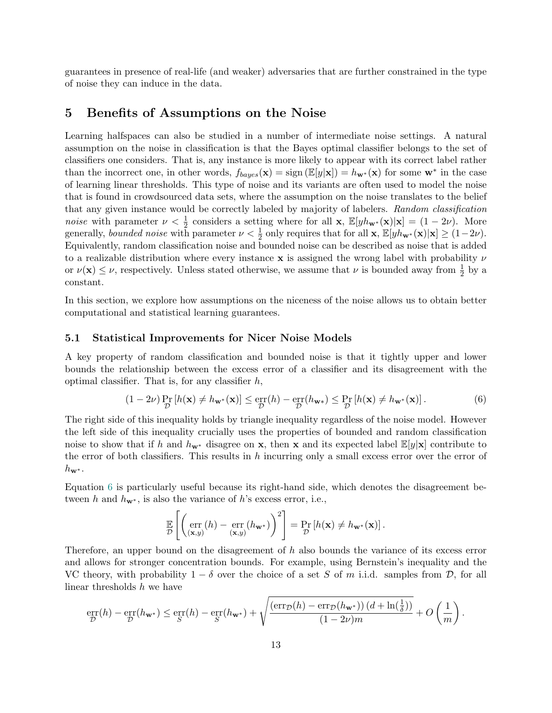guarantees in presence of real-life (and weaker) adversaries that are further constrained in the type of noise they can induce in the data.

### <span id="page-12-0"></span>5 Benefits of Assumptions on the Noise

Learning halfspaces can also be studied in a number of intermediate noise settings. A natural assumption on the noise in classification is that the Bayes optimal classifier belongs to the set of classifiers one considers. That is, any instance is more likely to appear with its correct label rather than the incorrect one, in other words,  $f_{bayes}(\mathbf{x}) = \text{sign}(\mathbb{E}[y|\mathbf{x}]) = h_{\mathbf{w}^*}(\mathbf{x})$  for some  $\mathbf{w}^*$  in the case of learning linear thresholds. This type of noise and its variants are often used to model the noise that is found in crowdsourced data sets, where the assumption on the noise translates to the belief that any given instance would be correctly labeled by majority of labelers. Random classification noise with parameter  $\nu < \frac{1}{2}$  considers a setting where for all **x**,  $\mathbb{E}[yh_{\mathbf{w}^*}(\mathbf{x})|\mathbf{x}] = (1 - 2\nu)$ . More generally, bounded noise with parameter  $\nu < \frac{1}{2}$  only requires that for all  $\mathbf{x}, \mathbb{E}[yh_{\mathbf{w^*}}(\mathbf{x})|\mathbf{x}] \ge (1-2\nu)$ . Equivalently, random classification noise and bounded noise can be described as noise that is added to a realizable distribution where every instance  $x$  is assigned the wrong label with probability  $\nu$ or  $\nu(\mathbf{x}) \leq \nu$ , respectively. Unless stated otherwise, we assume that  $\nu$  is bounded away from  $\frac{1}{2}$  by a constant.

In this section, we explore how assumptions on the niceness of the noise allows us to obtain better computational and statistical learning guarantees.

#### <span id="page-12-2"></span>5.1 Statistical Improvements for Nicer Noise Models

A key property of random classification and bounded noise is that it tightly upper and lower bounds the relationship between the excess error of a classifier and its disagreement with the optimal classifier. That is, for any classifier  $h$ ,

<span id="page-12-1"></span>
$$
(1 - 2\nu) \Pr_{\mathcal{D}}[h(\mathbf{x}) \neq h_{\mathbf{w}^*}(\mathbf{x})] \leq \Pr_{\mathcal{D}}(h) - \Pr_{\mathcal{D}}(h_{\mathbf{w}^*}) \leq \Pr_{\mathcal{D}}[h(\mathbf{x}) \neq h_{\mathbf{w}^*}(\mathbf{x})]. \tag{6}
$$

The right side of this inequality holds by triangle inequality regardless of the noise model. However the left side of this inequality crucially uses the properties of bounded and random classification noise to show that if h and  $h_{w^*}$  disagree on x, then x and its expected label  $\mathbb{E}[y|\mathbf{x}]$  contribute to the error of both classifiers. This results in h incurring only a small excess error over the error of  $h_{\mathbf{w}^*}$ .

Equation [6](#page-12-1) is particularly useful because its right-hand side, which denotes the disagreement between h and  $h_{\mathbf{w}^*}$ , is also the variance of h's excess error, i.e.,

$$
\mathbb{E}\left[\left(\mathop{\mathrm{err}}_{(\mathbf{x},y)}(h) - \mathop{\mathrm{err}}_{(\mathbf{x},y)}(h_{\mathbf{w}^*})\right)^2\right] = \Pr_{\mathcal{D}}\left[h(\mathbf{x}) \neq h_{\mathbf{w}^*}(\mathbf{x})\right].
$$

Therefore, an upper bound on the disagreement of h also bounds the variance of its excess error and allows for stronger concentration bounds. For example, using Bernstein's inequality and the VC theory, with probability  $1 - \delta$  over the choice of a set S of m i.i.d. samples from  $\mathcal{D}$ , for all linear thresholds h we have

$$
\operatorname*{\mathrm{err}}_{\mathcal{D}}(h) - \operatorname*{\mathrm{err}}_{\mathcal{D}}(h_{\mathbf{w}^*}) \le \operatorname*{\mathrm{err}}_{S}(h) - \operatorname*{\mathrm{err}}_{S}(h_{\mathbf{w}^*}) + \sqrt{\frac{\left(\operatorname*{\mathrm{err}}_{\mathcal{D}}(h) - \operatorname*{\mathrm{err}}_{\mathcal{D}}(h_{\mathbf{w}^*})\right)\left(d + \ln\left(\frac{1}{\delta}\right)\right)}{(1 - 2\nu)m}} + O\left(\frac{1}{m}\right).
$$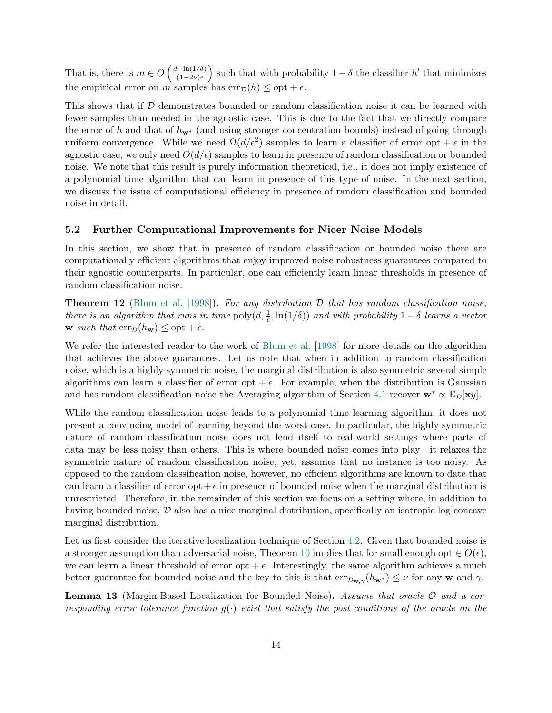That is, there is  $m \in O\left(\frac{d + \ln(1/\delta)}{(1-2\epsilon)\epsilon}\right)$  $\frac{(\pm \ln(1/\delta))}{(1-2\nu)\epsilon}$  such that with probability  $1-\delta$  the classifier h' that minimizes the empirical error on m samples has  $err_{\mathcal{D}}(h) \leq opt + \epsilon$ .

This shows that if D demonstrates bounded or random classification noise it can be learned with fewer samples than needed in the agnostic case. This is due to the fact that we directly compare the error of h and that of  $h_{w^*}$  (and using stronger concentration bounds) instead of going through uniform convergence. While we need  $\Omega(d/\epsilon^2)$  samples to learn a classifier of error opt +  $\epsilon$  in the agnostic case, we only need  $O(d/\epsilon)$  samples to learn in presence of random classification or bounded noise. We note that this result is purely information theoretical, i.e., it does not imply existence of a polynomial time algorithm that can learn in presence of this type of noise. In the next section, we discuss the issue of computational efficiency in presence of random classification and bounded noise in detail.

#### <span id="page-13-0"></span>5.2 Further Computational Improvements for Nicer Noise Models

In this section, we show that in presence of random classification or bounded noise there are computationally efficient algorithms that enjoy improved noise robustness guarantees compared to their agnostic counterparts. In particular, one can efficiently learn linear thresholds in presence of random classification noise.

**Theorem 12** [\(Blum et al.](#page-18-8) [\[1998\]](#page-18-8)). For any distribution D that has random classification noise, there is an algorithm that runs in time  $\text{poly}(d, \frac{1}{\epsilon}, \ln(1/\delta))$  and with probability  $1-\delta$  learns a vector w such that  $\text{err}_{\mathcal{D}}(h_{\mathbf{w}}) \leq \text{opt} + \epsilon$ .

We refer the interested reader to the work of [Blum et al.](#page-18-8) [\[1998\]](#page-18-8) for more details on the algorithm that achieves the above guarantees. Let us note that when in addition to random classification noise, which is a highly symmetric noise, the marginal distribution is also symmetric several simple algorithms can learn a classifier of error opt  $+ \epsilon$ . For example, when the distribution is Gaussian and has random classification noise the Averaging algorithm of Section [4.1](#page-5-2) recover  $\mathbf{w}^* \propto \mathbb{E}_{\mathcal{D}}[\mathbf{x} y]$ .

While the random classification noise leads to a polynomial time learning algorithm, it does not present a convincing model of learning beyond the worst-case. In particular, the highly symmetric nature of random classification noise does not lend itself to real-world settings where parts of data may be less noisy than others. This is where bounded noise comes into play—it relaxes the symmetric nature of random classification noise, yet, assumes that no instance is too noisy. As opposed to the random classification noise, however, no efficient algorithms are known to date that can learn a classifier of error opt  $+\epsilon$  in presence of bounded noise when the marginal distribution is unrestricted. Therefore, in the remainder of this section we focus on a setting where, in addition to having bounded noise,  $\mathcal D$  also has a nice marginal distribution, specifically an isotropic log-concave marginal distribution.

Let us first consider the iterative localization technique of Section [4.2.](#page-8-0) Given that bounded noise is a stronger assumption than adversarial noise, Theorem [10](#page-11-1) implies that for small enough opt  $\in O(\epsilon)$ , we can learn a linear threshold of error opt  $+\epsilon$ . Interestingly, the same algorithm achieves a much better guarantee for bounded noise and the key to this is that  $\text{err}_{\mathcal{D}_{\mathbf{w},\gamma}}(h_{\mathbf{w}^*}) \leq \nu$  for any w and  $\gamma$ .

**Lemma 13** (Margin-Based Localization for Bounded Noise). Assume that oracle  $\mathcal{O}$  and a corresponding error tolerance function  $q(\cdot)$  exist that satisfy the post-conditions of the oracle on the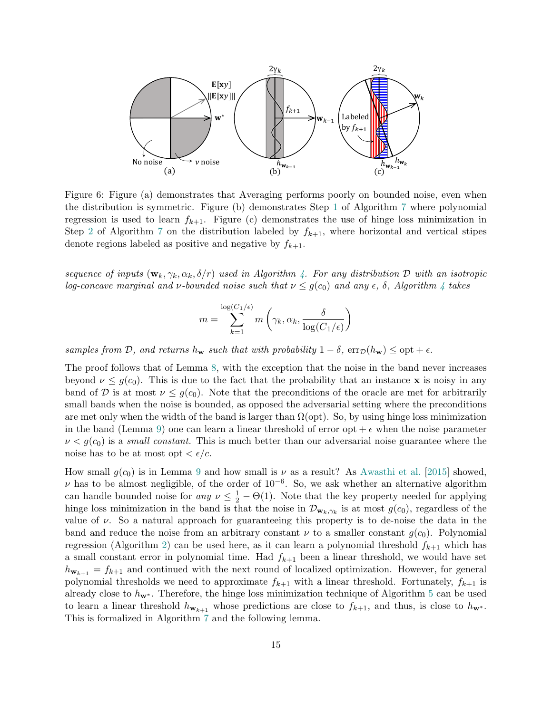

Figure 6: Figure (a) demonstrates that Averaging performs poorly on bounded noise, even when the distribution is symmetric. Figure (b) demonstrates Step [1](#page-15-0) of Algorithm [7](#page-15-1) where polynomial regression is used to learn  $f_{k+1}$ . Figure (c) demonstrates the use of hinge loss minimization in Step [2](#page-15-2) of Algorithm [7](#page-15-1) on the distribution labeled by  $f_{k+1}$ , where horizontal and vertical stipes denote regions labeled as positive and negative by  $f_{k+1}$ .

sequence of inputs  $(\mathbf{w}_k, \gamma_k, \alpha_k, \delta/r)$  used in Algorithm [4.](#page-10-0) For any distribution D with an isotropic log-concave marginal and v-bounded noise such that  $\nu \leq g(c_0)$  and any  $\epsilon$ ,  $\delta$ , Algorithm  $\ell$  takes

$$
m = \sum_{k=1}^{\log(\overline{C_1}/\epsilon)} m\left(\gamma_k, \alpha_k, \frac{\delta}{\log(\overline{C_1}/\epsilon)}\right)
$$

samples from D, and returns  $h_{\mathbf{w}}$  such that with probability  $1 - \delta$ ,  $\text{err}_{\mathcal{D}}(h_{\mathbf{w}}) \leq \text{opt} + \epsilon$ .

The proof follows that of Lemma [8,](#page-9-2) with the exception that the noise in the band never increases beyond  $\nu \leq g(c_0)$ . This is due to the fact that the probability that an instance **x** is noisy in any band of D is at most  $\nu \leq g(c_0)$ . Note that the preconditions of the oracle are met for arbitrarily small bands when the noise is bounded, as opposed the adversarial setting where the preconditions are met only when the width of the band is larger than  $\Omega(\text{opt})$ . So, by using hinge loss minimization in the band (Lemma [9\)](#page-10-1) one can learn a linear threshold of error opt  $+ \epsilon$  when the noise parameter  $\nu < g(c_0)$  is a *small constant*. This is much better than our adversarial noise guarantee where the noise has to be at most opt  $\langle \epsilon / c$ .

How small  $q(c_0)$  is in Lemma [9](#page-10-1) and how small is  $\nu$  as a result? As [Awasthi et al.](#page-17-4) [\[2015\]](#page-17-4) showed,  $\nu$  has to be almost negligible, of the order of  $10^{-6}$ . So, we ask whether an alternative algorithm can handle bounded noise for *any*  $\nu \leq \frac{1}{2} - \Theta(1)$ . Note that the key property needed for applying hinge loss minimization in the band is that the noise in  $\mathcal{D}_{\mathbf{w}_k,\gamma_k}$  is at most  $g(c_0)$ , regardless of the value of  $\nu$ . So a natural approach for guaranteeing this property is to de-noise the data in the band and reduce the noise from an arbitrary constant  $\nu$  to a smaller constant  $g(c_0)$ . Polynomial regression (Algorithm [2\)](#page-6-0) can be used here, as it can learn a polynomial threshold  $f_{k+1}$  which has a small constant error in polynomial time. Had  $f_{k+1}$  been a linear threshold, we would have set  $h_{\mathbf{w}_{k+1}} = f_{k+1}$  and continued with the next round of localized optimization. However, for general polynomial thresholds we need to approximate  $f_{k+1}$  with a linear threshold. Fortunately,  $f_{k+1}$  is already close to  $h_{\mathbf{w}^*}$ . Therefore, the hinge loss minimization technique of Algorithm [5](#page-11-0) can be used to learn a linear threshold  $h_{\mathbf{w}_{k+1}}$  whose predictions are close to  $f_{k+1}$ , and thus, is close to  $h_{\mathbf{w}^*}$ . This is formalized in Algorithm [7](#page-15-1) and the following lemma.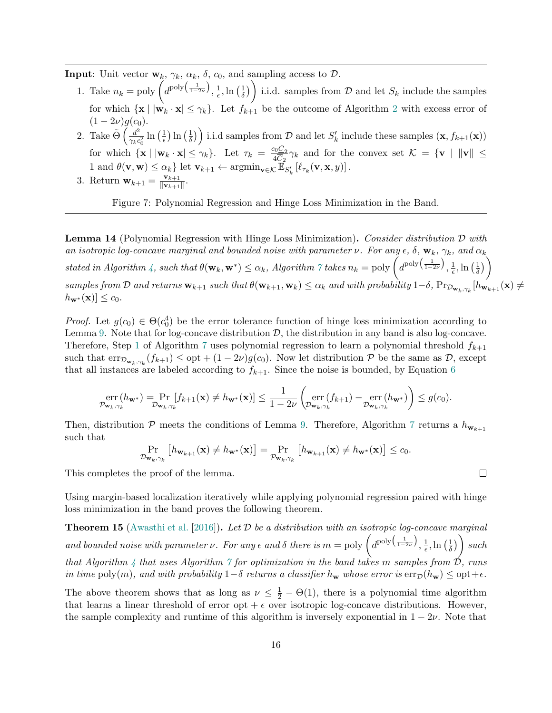<span id="page-15-0"></span>**Input:** Unit vector  $\mathbf{w}_k$ ,  $\gamma_k$ ,  $\alpha_k$ ,  $\delta$ ,  $c_0$ , and sampling access to  $\mathcal{D}$ .

- 1. Take  $n_k = \text{poly}\left(d^{\text{poly}\left(\frac{1}{1-2\nu}\right)}, \frac{1}{\epsilon}\right)$  $\frac{1}{\epsilon}, \ln\left(\frac{1}{\delta}\right)$  $\left(\frac{1}{\delta}\right)$  i.i.d. samples from  $\mathcal D$  and let  $S_k$  include the samples for which  $\{x \mid |\mathbf{w}_k \cdot \mathbf{x}| \leq \gamma_k\}$ . Let  $f_{k+1}$  be the outcome of Algorithm [2](#page-6-0) with excess error of  $(1 - 2\nu)g(c_0).$
- <span id="page-15-2"></span>2. Take  $\tilde{\Theta} \left( \frac{d^2}{dx^2} \right)$  $\frac{d^2}{\gamma_k c_0^2} \ln\left(\frac{1}{\epsilon}\right)$  $\frac{1}{\epsilon}$ ) ln  $\left(\frac{1}{\delta}\right)$  $\frac{1}{\delta}$ ) i.i.d samples from  $D$  and let  $S'_{k}$  include these samples  $(\mathbf{x}, f_{k+1}(\mathbf{x}))$ for which  $\{ \mathbf{x} \mid |\mathbf{w}_k \cdot \mathbf{x}| \leq \gamma_k \}$ . Let  $\tau_k = \frac{c_0 C_2}{4 \overline{C_0}}$  $\frac{4\delta S_2}{4\overline{C_2}}\gamma_k$  and for the convex set  $\mathcal{K} = \{ \mathbf{v} \mid ||\mathbf{v}|| \leq$ 1 and  $\theta(\mathbf{v}, \mathbf{w}) \leq \alpha_k$  let  $\mathbf{v}_{k+1} \leftarrow \operatorname{argmin}_{\mathbf{v} \in \mathcal{K}} \mathbb{E}_{S'_k} \left[ \ell_{\tau_k}(\mathbf{v}, \mathbf{x}, y) \right]$ .
- 3. Return  $\mathbf{w}_{k+1} = \frac{\mathbf{v}_{k+1}}{\|\mathbf{v}_{k+1}\|}$  $\frac{{\bf v}_{k+1}}{\|{\bf v}_{k+1}\|}.$

<span id="page-15-1"></span>Figure 7: Polynomial Regression and Hinge Loss Minimization in the Band.

**Lemma 14** (Polynomial Regression with Hinge Loss Minimization). Consider distribution  $\mathcal{D}$  with an isotropic log-concave marginal and bounded noise with parameter  $\nu$ . For any  $\epsilon$ ,  $\delta$ ,  $\mathbf{w}_k$ ,  $\gamma_k$ , and  $\alpha_k$ stated in Algorithm [4,](#page-10-0) such that  $\theta(\mathbf{w}_k, \mathbf{w}^*) \leq \alpha_k$ , Algorithm [7](#page-15-1) takes  $n_k = \text{poly}\left(d^{\text{poly}}\left(\frac{1}{1-2\nu}\right), \frac{1}{\epsilon}\right)$  $\frac{1}{\epsilon}, \ln\left(\frac{1}{\delta}\right)$  $\frac{1}{\delta}$ )  $samples from \mathcal{D}$  and returns  $\mathbf{w}_{k+1}$  such that  $\theta(\mathbf{w}_{k+1}, \mathbf{w}_k) \leq \alpha_k$  and with probability  $1-\delta$ ,  $Pr_{\mathcal{D}_{\mathbf{w}_k}, \gamma_k}[h_{\mathbf{w}_{k+1}}(\mathbf{x}) \neq 0]$  $h_{\mathbf{w}^*}(\mathbf{x}) \leq c_0.$ 

*Proof.* Let  $g(c_0) \in \Theta(c_0^4)$  be the error tolerance function of hinge loss minimization according to Lemma [9.](#page-10-1) Note that for log-concave distribution  $D$ , the distribution in any band is also log-concave. Therefore, Step [1](#page-15-0) of Algorithm [7](#page-15-1) uses polynomial regression to learn a polynomial threshold  $f_{k+1}$ such that  $\text{err}_{\mathcal{D}_{\mathbf{w}_k,\gamma_k}}(f_{k+1}) \leq \text{opt} + (1-2\nu)g(c_0)$ . Now let distribution  $\mathcal{P}$  be the same as  $\mathcal{D}$ , except that all instances are labeled according to  $f_{k+1}$ . Since the noise is bounded, by Equation [6](#page-12-1)

$$
\Pr_{\mathcal{P}_{\mathbf{w}_k,\gamma_k}}(h_{\mathbf{w}^*}) = \Pr_{\mathcal{D}_{\mathbf{w}_k,\gamma_k}}[f_{k+1}(\mathbf{x}) \neq h_{\mathbf{w}^*}(\mathbf{x})] \leq \frac{1}{1-2\nu} \left( \Pr_{\mathcal{D}_{\mathbf{w}_k,\gamma_k}}(f_{k+1}) - \Pr_{\mathcal{D}_{\mathbf{w}_k,\gamma_k}}(h_{\mathbf{w}^*}) \right) \leq g(c_0).
$$

Then, distribution  $P$  meets the conditions of Lemma [9.](#page-10-1) Therefore, Algorithm [7](#page-15-1) returns a  $h_{\mathbf{w}_{k+1}}$ such that

$$
\Pr_{\mathcal{D}_{\mathbf{w}_k,\gamma_k}}\left[h_{\mathbf{w}_{k+1}}(\mathbf{x}) \neq h_{\mathbf{w}^*}(\mathbf{x})\right] = \Pr_{\mathcal{P}_{\mathbf{w}_k,\gamma_k}}\left[h_{\mathbf{w}_{k+1}}(\mathbf{x}) \neq h_{\mathbf{w}^*}(\mathbf{x})\right] \leq c_0.
$$

 $\Box$ 

This completes the proof of the lemma.

Using margin-based localization iteratively while applying polynomial regression paired with hinge loss minimization in the band proves the following theorem.

**Theorem 15** [\(Awasthi et al.](#page-17-5) [\[2016\]](#page-17-5)). Let  $D$  be a distribution with an isotropic log-concave marginal and bounded noise with parameter v. For any  $\epsilon$  and  $\delta$  there is  $m = \text{poly}\left(d^{\text{poly}}\left(\frac{1}{1-2\nu}\right), \frac{1}{\epsilon}\right)$  $\frac{1}{\epsilon}, \ln\left(\frac{1}{\delta}\right)$  $\frac{1}{\delta}$ )  $\Big)$  such that Algorithm [4](#page-10-0) that uses Algorithm  $\gamma$  for optimization in the band takes m samples from  $\mathcal{D}$ , runs in time poly(m), and with probability  $1-\delta$  returns a classifier  $h_{\bf w}$  whose error is  $\text{err}_{\mathcal{D}}(h_{\bf w}) \leq \text{opt}+\epsilon$ .

The above theorem shows that as long as  $\nu \leq \frac{1}{2} - \Theta(1)$ , there is a polynomial time algorithm that learns a linear threshold of error opt  $+ \epsilon$  over isotropic log-concave distributions. However, the sample complexity and runtime of this algorithm is inversely exponential in  $1 - 2\nu$ . Note that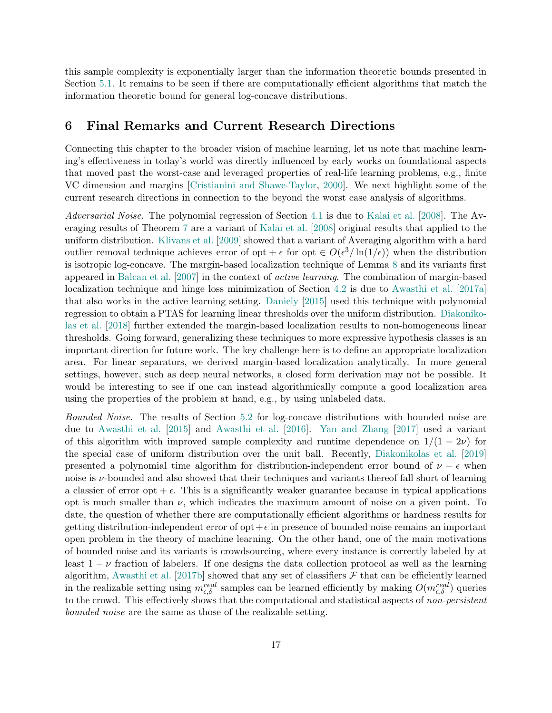this sample complexity is exponentially larger than the information theoretic bounds presented in Section [5.1.](#page-12-2) It remains to be seen if there are computationally efficient algorithms that match the information theoretic bound for general log-concave distributions.

### 6 Final Remarks and Current Research Directions

Connecting this chapter to the broader vision of machine learning, let us note that machine learning's effectiveness in today's world was directly influenced by early works on foundational aspects that moved past the worst-case and leveraged properties of real-life learning problems, e.g., finite VC dimension and margins [\[Cristianini and Shawe-Taylor,](#page-18-9) [2000\]](#page-18-9). We next highlight some of the current research directions in connection to the beyond the worst case analysis of algorithms.

Adversarial Noise. The polynomial regression of Section [4.1](#page-5-2) is due to [Kalai et al.](#page-18-5) [\[2008\]](#page-18-5). The Averaging results of Theorem [7](#page-7-1) are a variant of [Kalai et al.](#page-18-5) [\[2008\]](#page-18-5) original results that applied to the uniform distribution. [Klivans et al.](#page-18-7) [\[2009\]](#page-18-7) showed that a variant of Averaging algorithm with a hard outlier removal technique achieves error of opt +  $\epsilon$  for opt  $\epsilon O(\epsilon^3/\ln(1/\epsilon))$  when the distribution is isotropic log-concave. The margin-based localization technique of Lemma [8](#page-9-2) and its variants first appeared in [Balcan et al.](#page-18-10) [\[2007\]](#page-18-10) in the context of active learning. The combination of margin-based localization technique and hinge loss minimization of Section [4.2](#page-8-0) is due to [Awasthi et al.](#page-17-2) [\[2017a\]](#page-17-2) that also works in the active learning setting. [Daniely](#page-18-11) [\[2015\]](#page-18-11) used this technique with polynomial regression to obtain a PTAS for learning linear thresholds over the uniform distribution. [Diakoniko](#page-18-12)[las et al.](#page-18-12) [\[2018\]](#page-18-12) further extended the margin-based localization results to non-homogeneous linear thresholds. Going forward, generalizing these techniques to more expressive hypothesis classes is an important direction for future work. The key challenge here is to define an appropriate localization area. For linear separators, we derived margin-based localization analytically. In more general settings, however, such as deep neural networks, a closed form derivation may not be possible. It would be interesting to see if one can instead algorithmically compute a good localization area using the properties of the problem at hand, e.g., by using unlabeled data.

Bounded Noise. The results of Section [5.2](#page-13-0) for log-concave distributions with bounded noise are due to [Awasthi et al.](#page-17-4) [\[2015\]](#page-17-4) and [Awasthi et al.](#page-17-5) [\[2016\]](#page-17-5). [Yan and Zhang](#page-18-13) [\[2017\]](#page-18-13) used a variant of this algorithm with improved sample complexity and runtime dependence on  $1/(1 - 2\nu)$  for the special case of uniform distribution over the unit ball. Recently, [Diakonikolas et al.](#page-18-14) [\[2019\]](#page-18-14) presented a polynomial time algorithm for distribution-independent error bound of  $\nu + \epsilon$  when noise is ν-bounded and also showed that their techniques and variants thereof fall short of learning a classier of error opt  $+\epsilon$ . This is a significantly weaker guarantee because in typical applications opt is much smaller than  $\nu$ , which indicates the maximum amount of noise on a given point. To date, the question of whether there are computationally efficient algorithms or hardness results for getting distribution-independent error of opt $+\epsilon$  in presence of bounded noise remains an important open problem in the theory of machine learning. On the other hand, one of the main motivations of bounded noise and its variants is crowdsourcing, where every instance is correctly labeled by at least  $1 - \nu$  fraction of labelers. If one designs the data collection protocol as well as the learning algorithm, [Awasthi et al.](#page-17-6) [\[2017b\]](#page-17-6) showed that any set of classifiers  $\mathcal F$  that can be efficiently learned in the realizable setting using  $m_{\epsilon,\delta}^{real}$  samples can be learned efficiently by making  $O(m_{\epsilon,\delta}^{real})$  queries to the crowd. This effectively shows that the computational and statistical aspects of non-persistent bounded noise are the same as those of the realizable setting.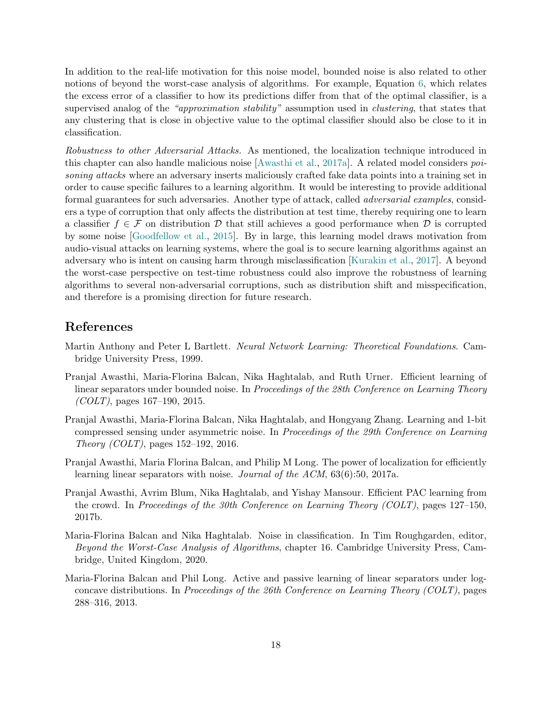In addition to the real-life motivation for this noise model, bounded noise is also related to other notions of beyond the worst-case analysis of algorithms. For example, Equation  $6$ , which relates the excess error of a classifier to how its predictions differ from that of the optimal classifier, is a supervised analog of the "approximation stability" assumption used in *clustering*, that states that any clustering that is close in objective value to the optimal classifier should also be close to it in classification.

Robustness to other Adversarial Attacks. As mentioned, the localization technique introduced in this chapter can also handle malicious noise [\[Awasthi et al.,](#page-17-2) [2017a\]](#page-17-2). A related model considers poisoning attacks where an adversary inserts maliciously crafted fake data points into a training set in order to cause specific failures to a learning algorithm. It would be interesting to provide additional formal guarantees for such adversaries. Another type of attack, called adversarial examples, considers a type of corruption that only affects the distribution at test time, thereby requiring one to learn a classifier  $f \in \mathcal{F}$  on distribution D that still achieves a good performance when D is corrupted by some noise [\[Goodfellow et al.,](#page-18-15) [2015\]](#page-18-15). By in large, this learning model draws motivation from audio-visual attacks on learning systems, where the goal is to secure learning algorithms against an adversary who is intent on causing harm through misclassification [\[Kurakin et al.,](#page-18-16) [2017\]](#page-18-16). A beyond the worst-case perspective on test-time robustness could also improve the robustness of learning algorithms to several non-adversarial corruptions, such as distribution shift and misspecification, and therefore is a promising direction for future research.

### References

- <span id="page-17-1"></span>Martin Anthony and Peter L Bartlett. Neural Network Learning: Theoretical Foundations. Cambridge University Press, 1999.
- <span id="page-17-4"></span>Pranjal Awasthi, Maria-Florina Balcan, Nika Haghtalab, and Ruth Urner. Efficient learning of linear separators under bounded noise. In Proceedings of the 28th Conference on Learning Theory  $(COLT)$ , pages 167–190, 2015.
- <span id="page-17-5"></span>Pranjal Awasthi, Maria-Florina Balcan, Nika Haghtalab, and Hongyang Zhang. Learning and 1-bit compressed sensing under asymmetric noise. In Proceedings of the 29th Conference on Learning Theory (COLT), pages 152–192, 2016.
- <span id="page-17-2"></span>Pranjal Awasthi, Maria Florina Balcan, and Philip M Long. The power of localization for efficiently learning linear separators with noise. Journal of the ACM, 63(6):50, 2017a.
- <span id="page-17-6"></span>Pranjal Awasthi, Avrim Blum, Nika Haghtalab, and Yishay Mansour. Efficient PAC learning from the crowd. In Proceedings of the 30th Conference on Learning Theory (COLT), pages 127–150, 2017b.
- <span id="page-17-0"></span>Maria-Florina Balcan and Nika Haghtalab. Noise in classification. In Tim Roughgarden, editor, Beyond the Worst-Case Analysis of Algorithms, chapter 16. Cambridge University Press, Cambridge, United Kingdom, 2020.
- <span id="page-17-3"></span>Maria-Florina Balcan and Phil Long. Active and passive learning of linear separators under logconcave distributions. In Proceedings of the 26th Conference on Learning Theory (COLT), pages 288–316, 2013.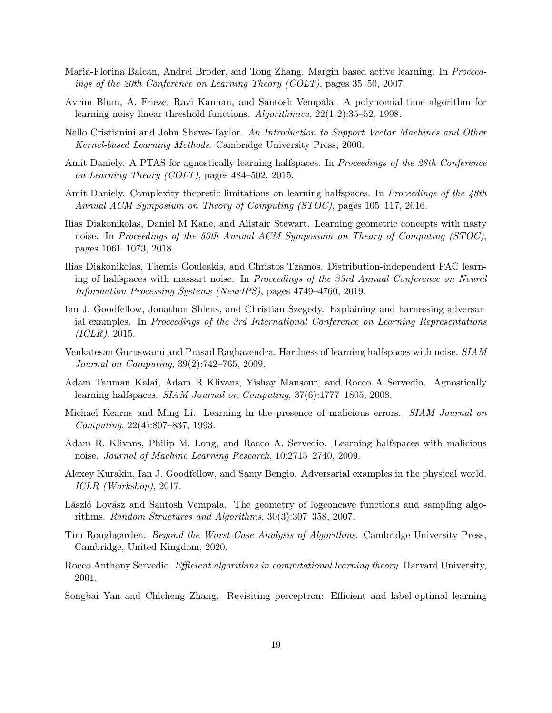- <span id="page-18-10"></span>Maria-Florina Balcan, Andrei Broder, and Tong Zhang. Margin based active learning. In Proceedings of the 20th Conference on Learning Theory (COLT), pages 35–50, 2007.
- <span id="page-18-8"></span>Avrim Blum, A. Frieze, Ravi Kannan, and Santosh Vempala. A polynomial-time algorithm for learning noisy linear threshold functions. Algorithmica, 22(1-2):35–52, 1998.
- <span id="page-18-9"></span>Nello Cristianini and John Shawe-Taylor. An Introduction to Support Vector Machines and Other Kernel-based Learning Methods. Cambridge University Press, 2000.
- <span id="page-18-11"></span>Amit Daniely. A PTAS for agnostically learning halfspaces. In Proceedings of the 28th Conference on Learning Theory (COLT), pages 484–502, 2015.
- <span id="page-18-3"></span>Amit Daniely. Complexity theoretic limitations on learning halfspaces. In Proceedings of the 48th Annual ACM Symposium on Theory of Computing (STOC), pages 105–117, 2016.
- <span id="page-18-12"></span>Ilias Diakonikolas, Daniel M Kane, and Alistair Stewart. Learning geometric concepts with nasty noise. In Proceedings of the 50th Annual ACM Symposium on Theory of Computing (STOC), pages 1061–1073, 2018.
- <span id="page-18-14"></span>Ilias Diakonikolas, Themis Gouleakis, and Christos Tzamos. Distribution-independent PAC learning of halfspaces with massart noise. In Proceedings of the 33rd Annual Conference on Neural Information Processing Systems (NeurIPS), pages 4749–4760, 2019.
- <span id="page-18-15"></span>Ian J. Goodfellow, Jonathon Shlens, and Christian Szegedy. Explaining and harnessing adversarial examples. In Proceedings of the 3rd International Conference on Learning Representations  $(ICLR)$ , 2015.
- <span id="page-18-2"></span>Venkatesan Guruswami and Prasad Raghavendra. Hardness of learning halfspaces with noise. SIAM Journal on Computing, 39(2):742–765, 2009.
- <span id="page-18-5"></span>Adam Tauman Kalai, Adam R Klivans, Yishay Mansour, and Rocco A Servedio. Agnostically learning halfspaces. SIAM Journal on Computing, 37(6):1777–1805, 2008.
- <span id="page-18-1"></span>Michael Kearns and Ming Li. Learning in the presence of malicious errors. SIAM Journal on Computing, 22(4):807–837, 1993.
- <span id="page-18-7"></span>Adam R. Klivans, Philip M. Long, and Rocco A. Servedio. Learning halfspaces with malicious noise. Journal of Machine Learning Research, 10:2715–2740, 2009.
- <span id="page-18-16"></span>Alexey Kurakin, Ian J. Goodfellow, and Samy Bengio. Adversarial examples in the physical world. ICLR (Workshop), 2017.
- <span id="page-18-4"></span>László Lovász and Santosh Vempala. The geometry of logconcave functions and sampling algorithms. Random Structures and Algorithms, 30(3):307–358, 2007.
- <span id="page-18-0"></span>Tim Roughgarden. Beyond the Worst-Case Analysis of Algorithms. Cambridge University Press, Cambridge, United Kingdom, 2020.
- <span id="page-18-6"></span>Rocco Anthony Servedio. Efficient algorithms in computational learning theory. Harvard University, 2001.
- <span id="page-18-13"></span>Songbai Yan and Chicheng Zhang. Revisiting perceptron: Efficient and label-optimal learning